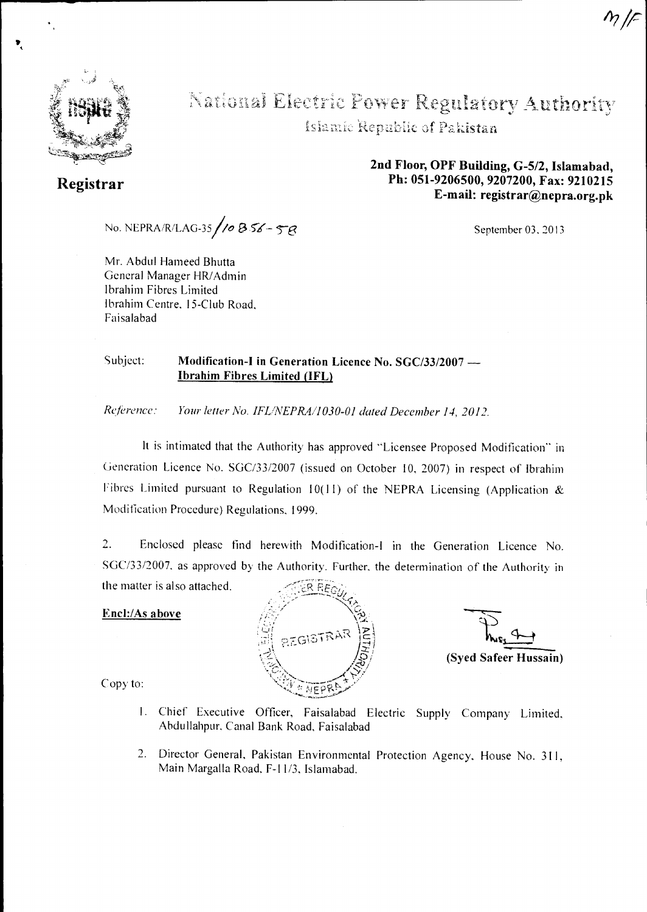

**Registrar** 

# Regulatory Authori

Islamic Republic of Pakistan

**2nd Floor, OPF Building, G-5/2, Islamabad, Ph: 051-9206500, 9207200, Fax: 9210215 E-mail: registrar@nepra.org.pk** 

No. NEPRA/R/LAG-35/10  $8.56 - 58$ 

Mr. Abdul Hameed Bhutta General Manager HR/Admin Ibrahim Fibres Limited Ibrahim Centre, 15-Club Road. Faisalabad

September 03, 2013

## Subject: Modification-I in Generation Licence No. SGC/33/2007 — Ibrahim Fibres Limited (IFL)

*Reference: Your letter No. IFL/NEPRA/1030-01 dated December 14, 2012.* 

It is intimated that the Authority has approved "Licensee Proposed Modification" in Generation Licence No. SGC/33/2007 (issued on October 10, 2007) in respect of Ibrahim Fibres Limited pursuant to Regulation 10(11) of the NEPRA Licensing (Application & Modification Procedure) Regulations, 1999.

2. Enclosed please find herewith Modification-I in the Generation Licence No. SGC/33/2007, as approved by the Authority. Further, the determination of the Authority in the matter is also attached.

#### Encl:/As above



 $\frac{4}{\sqrt{2}}$ (Syed Safeer Hussain)

Copy to:

- 1. Chief Executive Officer, Faisalabad Electric Supply Company Limited, Abdullahpur. Canal Bank Road, Faisalabad
- 2. Director General. Pakistan Environmental Protection Agency. House No. 311, Main Margalla Road. F-11/3, Islamabad.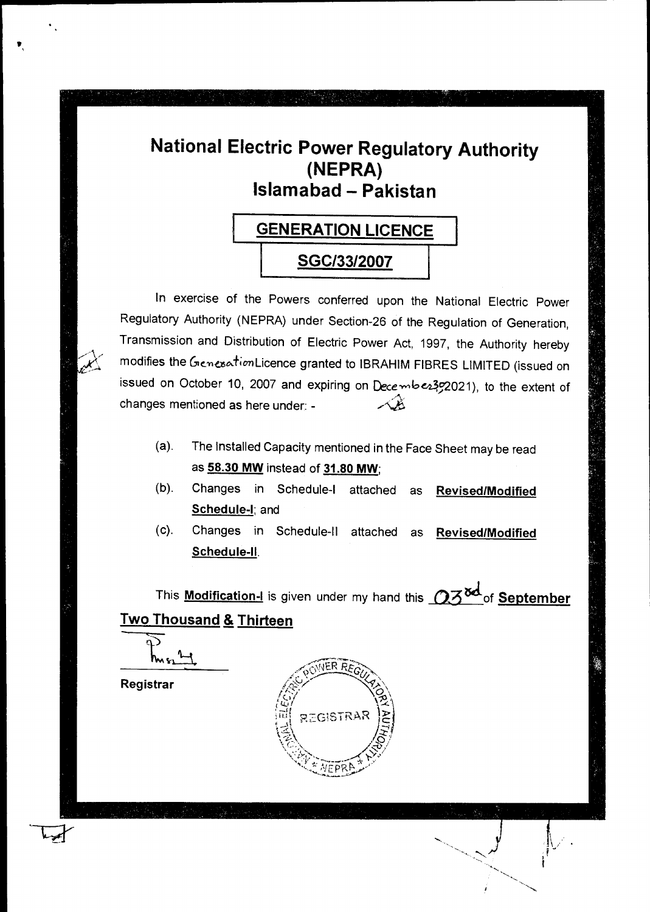# **National Electric Power Regulatory Authority (NEPRA) Islamabad - Pakistan**



In exercise of the Powers conferred upon the National Electric Power Regulatory Authority (NEPRA) under Section-26 of the Regulation of Generation, Transmission and Distribution of Electric Power Act, 1997, the Authority hereby modifies the GenesationLicence granted to IBRAHIM FIBRES LIMITED (issued on issued on October 10, 2007 and expiring on Decembe2392021), to the extent of changes mentioned as here under: - يكلمنكمه

- (a). The Installed Capacity mentioned in the Face Sheet may be read as **58.30 MW** instead of **31.80 MW;**
- (b). Changes in Schedule-I attached as **Revised/Modified Schedule-I;** and
- (c). Changes in Schedule-II attached as **Revised/Modified Schedule-II.**

This **Modification-I** is given under my hand this  $\mathbb{Q} \mathbb{Z}^{\mathsf{S} \mathsf{d}}$  of **September Two Thousand & Thirteen** 

**Registrar** 

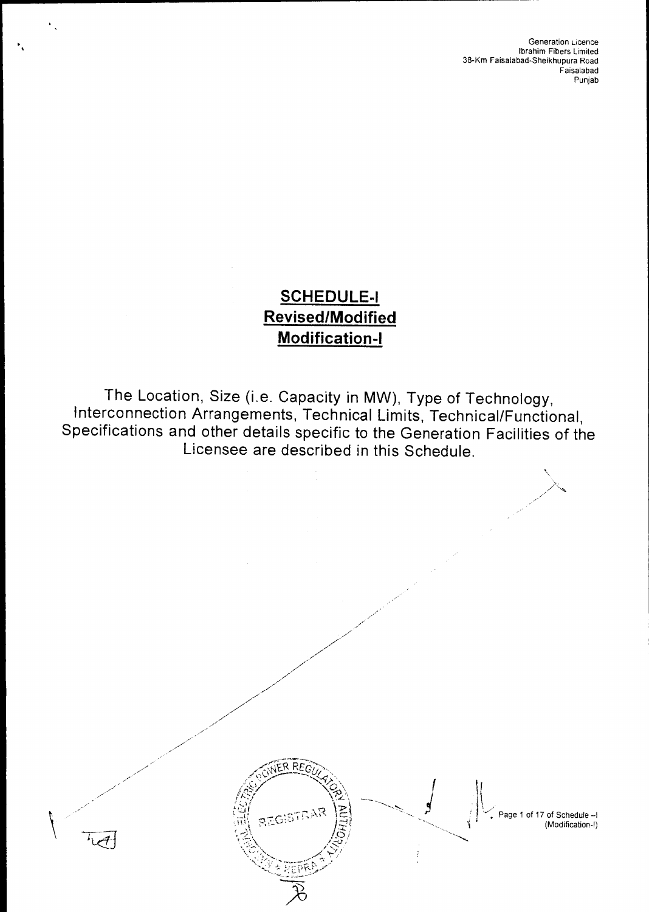Generation Licence Ibrahim Fibers Limited 38-Km Faisalabad-Sheikhupura Road Faisalabad Punjab

' - Page 1 of 17 of Schedule —1

# **SCHEDULE-I Revised/Modified Modification-I**

The Location, Size (i.e. Capacity in MW), Type of Technology, Interconnection Arrangements, Technical Limits, Technical/Functional, Specifications and other details specific to the Generation Facilities of the Licensee are described in this Schedule.

 $\langle \diamond \rangle$ 

/چ/

FREGULATOR REGULATOR PROPERTY OF SChedule -1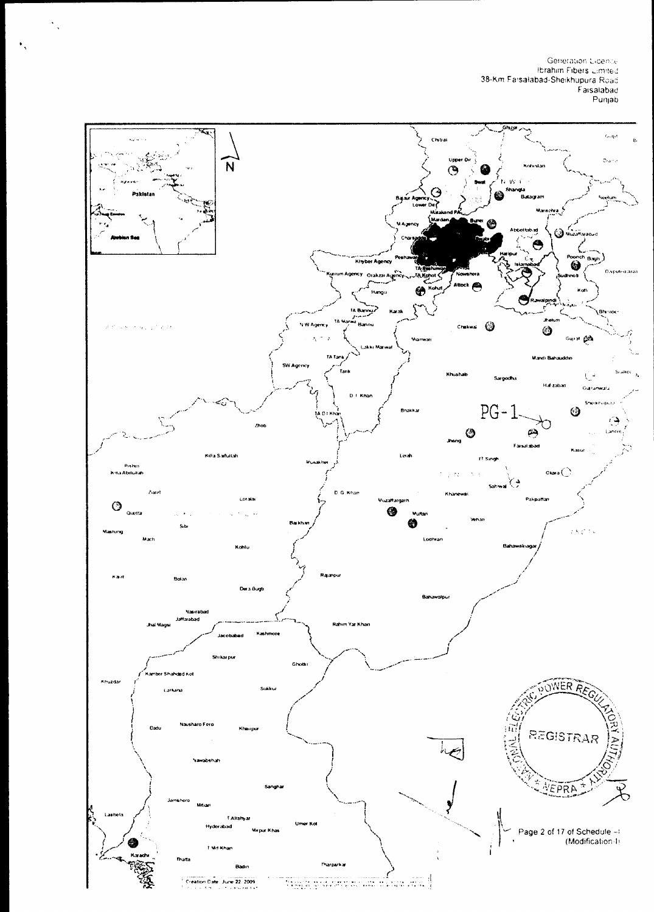Generation Licence<br>Ibrahim Fibers Limited<br>38-Km Farsalabad-Sheikhupura Road<br>Faisalabad –<br>Punjab

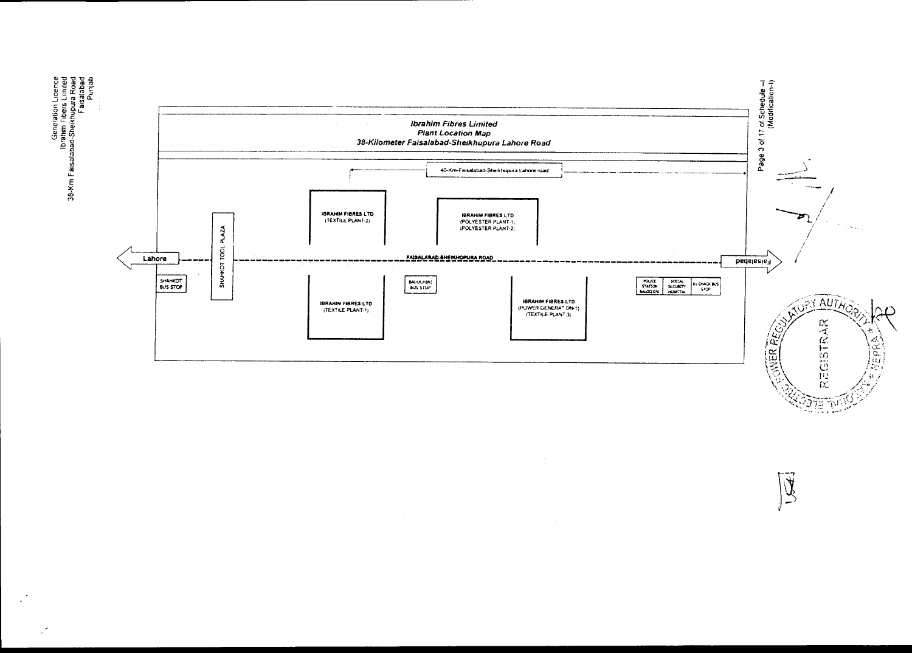

 $2$   $7$   $\pm$   $7$   $\%$ 

 $\overline{\widetilde{\mathcal{K}}}$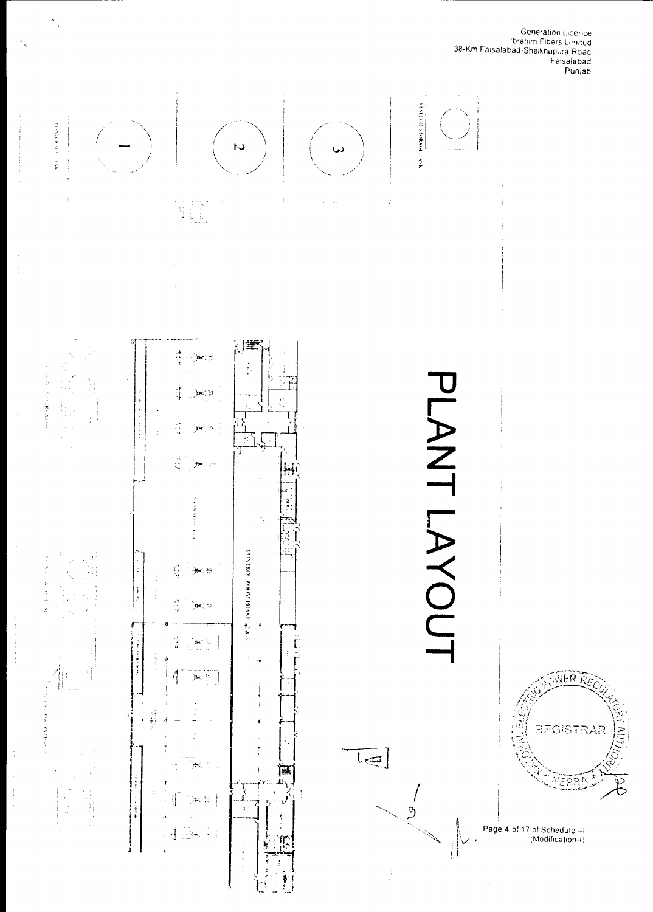

 $\hat{\Sigma}_\alpha$ 

Ĵ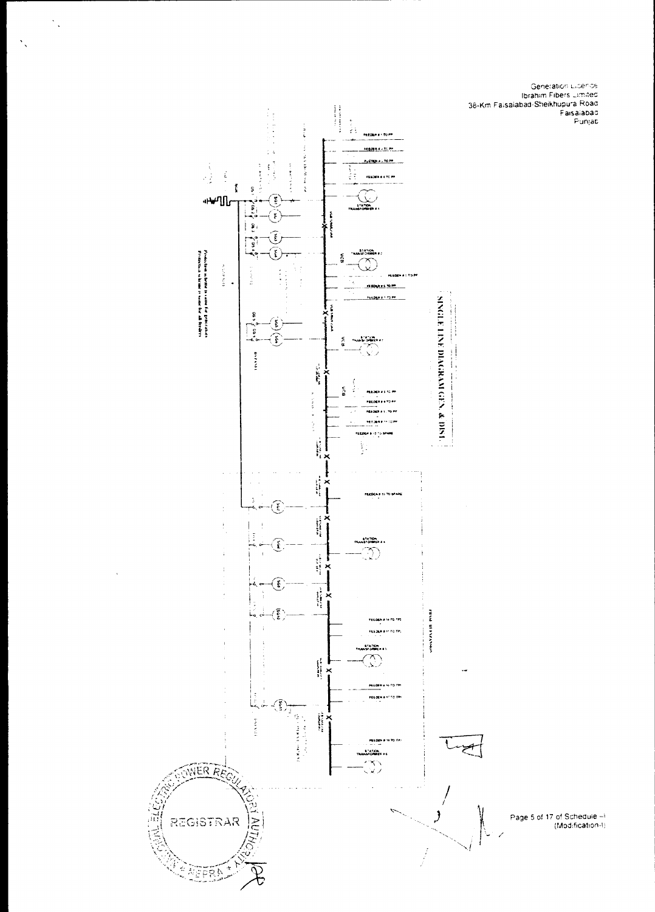



 $\hat{\mathcal{S}}_s$ 

 $\bar{z}$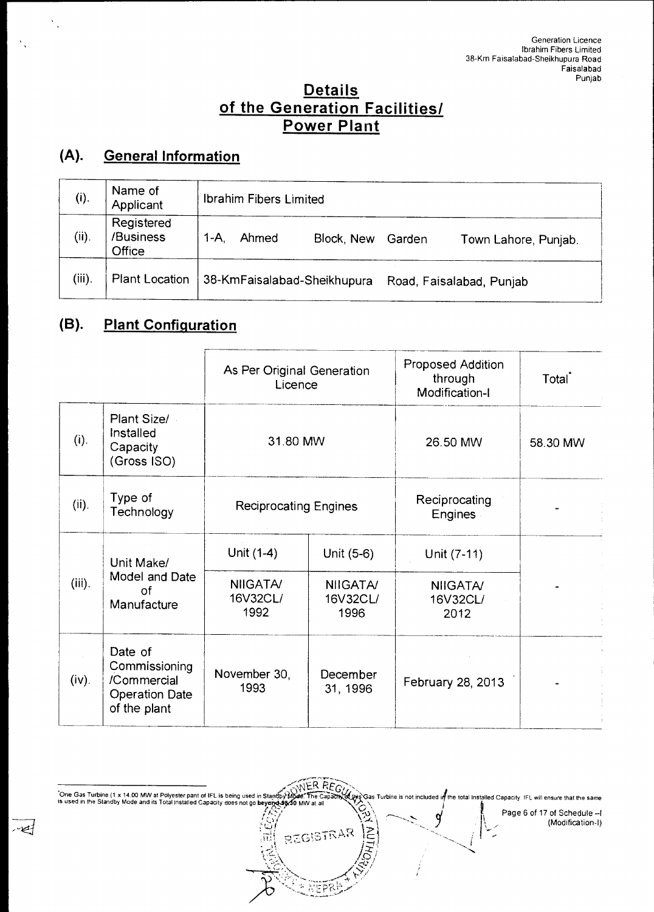## **Details of the Generation Facilities/ Power Plant**

# **(A). General Information**

| (i).      | Name of<br>Applicant              | Ibrahim Fibers Limited                                       |  |  |  |  |  |  |  |  |  |  |
|-----------|-----------------------------------|--------------------------------------------------------------|--|--|--|--|--|--|--|--|--|--|
| (ii).     | Registered<br>/Business<br>Office | 1-A<br>Ahmed<br>Block, New<br>Garden<br>Town Lahore, Punjab. |  |  |  |  |  |  |  |  |  |  |
| $(iii)$ . | <b>Plant Location</b>             | 38-KmFaisalabad-Sheikhupura<br>Road, Faisalabad, Punjab      |  |  |  |  |  |  |  |  |  |  |

# **(B). Plant Configuration**

 $\overline{\mathcal{L}}$ 

|           |                                                                                  | As Per Original Generation<br>Licence |                                     | <b>Proposed Addition</b><br>through<br>Modification-I | Total <sup>*</sup> |
|-----------|----------------------------------------------------------------------------------|---------------------------------------|-------------------------------------|-------------------------------------------------------|--------------------|
| (i).      | Plant Size/<br>Installed<br>Capacity<br>(Gross ISO)                              | 31.80 MW                              |                                     | 26.50 MW                                              | 58.30 MW           |
| (ii).     | Type of<br>Technology                                                            | <b>Reciprocating Engines</b>          |                                     | Reciprocating<br><b>Engines</b>                       |                    |
|           | Unit Make/                                                                       | Unit (1-4)                            | Unit (5-6)                          | Unit (7-11)                                           |                    |
| $(iii)$ . | Model and Date<br>of<br>Manufacture                                              | <b>NIIGATA/</b><br>16V32CL/<br>1992   | <b>NIIGATA/</b><br>16V32CL/<br>1996 | <b>NIIGATA/</b><br>16V32CL/<br>2012                   |                    |
| (iv).     | Date of<br>Commissioning<br>/Commercial<br><b>Operation Date</b><br>of the plant | November 30,<br>1993                  | December<br>31, 1996                | February 28, 2013                                     |                    |

One Gas Turbine (1 x 14.00 MW at Polyester pant of IFL is being used in Standby Mode. The Capachy of Dis Cas Turbine is not included in the total Installed Capacity. IFL will ensure that the same<br>In sused in the Standby M Page 6 of 17 of Schedule —I Í 9 (Modification-I) REGISTRAR  $\overline{\mathsf{R}}$ 

F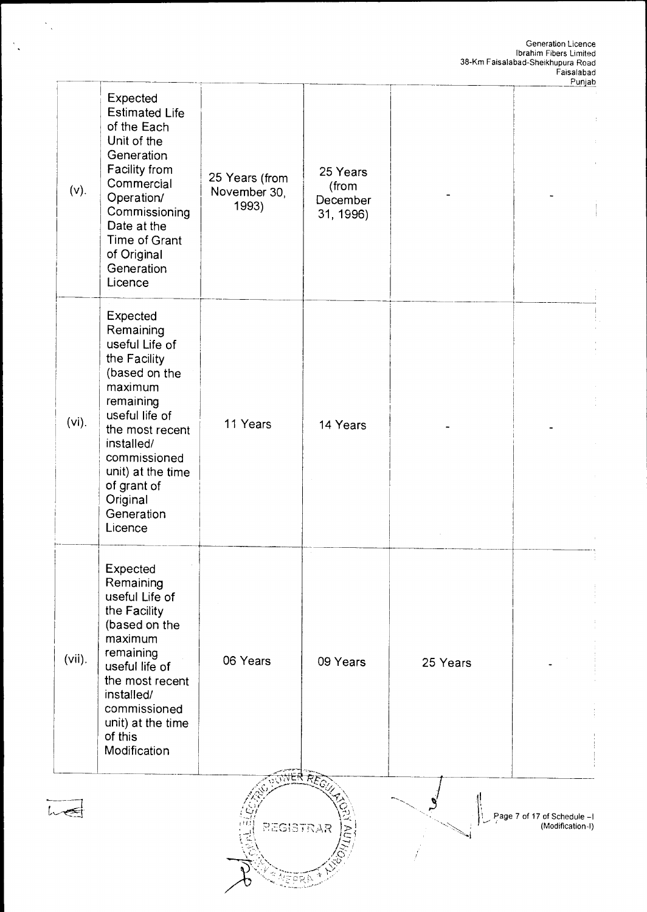|           |                                                                                                                                                                                                                                              |                                         |                                            |          | Punjab                                          |
|-----------|----------------------------------------------------------------------------------------------------------------------------------------------------------------------------------------------------------------------------------------------|-----------------------------------------|--------------------------------------------|----------|-------------------------------------------------|
| $(v)$ .   | Expected<br><b>Estimated Life</b><br>of the Each<br>Unit of the<br>Generation<br>Facility from<br>Commercial<br>Operation/<br>Commissioning<br>Date at the<br>Time of Grant<br>of Original<br>Generation<br>Licence                          | 25 Years (from<br>November 30,<br>1993) | 25 Years<br>(from<br>December<br>31, 1996) |          |                                                 |
| $(vi)$ .  | Expected<br>Remaining<br>useful Life of<br>the Facility<br>(based on the<br>maximum<br>remaining<br>useful life of<br>the most recent<br>installed/<br>commissioned<br>unit) at the time<br>of grant of<br>Original<br>Generation<br>Licence | 11 Years                                | 14 Years                                   |          |                                                 |
| $(vii)$ . | Expected<br>Remaining<br>useful Life of<br>the Facility<br>(based on the<br>maximum<br>remaining<br>useful life of<br>the most recent<br>installed/<br>commissioned<br>unit) at the time<br>of this<br>Modification                          | 06 Years                                | 09 Years                                   | 25 Years |                                                 |
|           |                                                                                                                                                                                                                                              | <b>REGISTRAR</b>                        | रै रु $\epsilon_{\rm C}$                   |          | Page 7 of 17 of Schedule -1<br>(Modification-I) |

 $\frac{1}{\sqrt{2}}$ 

 $\frac{1}{2}$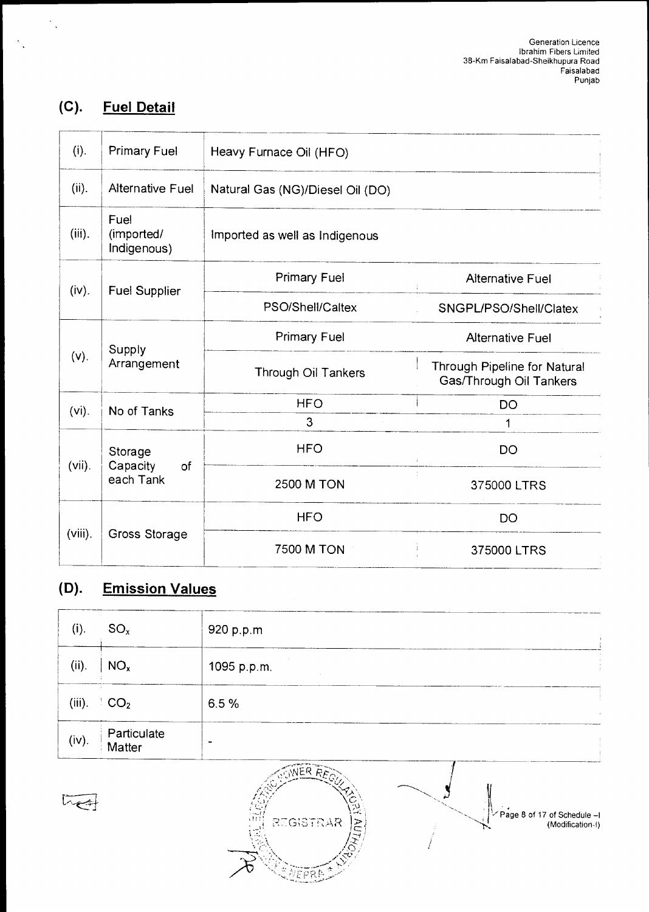# **(C). Fuel Detail**

 $\frac{1}{2}$ 

| (i).       | <b>Primary Fuel</b>               | Heavy Furnace Oil (HFO)          |                                                         |  |  |  |  |
|------------|-----------------------------------|----------------------------------|---------------------------------------------------------|--|--|--|--|
| (ii).      | Alternative Fuel                  | Natural Gas (NG)/Diesel Oil (DO) |                                                         |  |  |  |  |
| $(iii)$ .  | Fuel<br>(imported/<br>Indigenous) | Imported as well as Indigenous   |                                                         |  |  |  |  |
| (iv).      | <b>Fuel Supplier</b>              | <b>Primary Fuel</b>              | <b>Alternative Fuel</b>                                 |  |  |  |  |
|            |                                   | PSO/Shell/Caltex                 | SNGPL/PSO/Shell/Clatex                                  |  |  |  |  |
|            |                                   | <b>Primary Fuel</b>              | <b>Alternative Fuel</b>                                 |  |  |  |  |
| (v).       | Supply<br>Arrangement             | <b>Through Oil Tankers</b>       | Through Pipeline for Natural<br>Gas/Through Oil Tankers |  |  |  |  |
| $(vi)$ .   | No of Tanks                       | <b>HFO</b>                       | <b>DO</b>                                               |  |  |  |  |
|            |                                   | 3                                | 1                                                       |  |  |  |  |
| $(vii)$ .  | Storage<br>Capacity<br>of         | <b>HFO</b>                       | DO                                                      |  |  |  |  |
|            | each Tank                         | <b>2500 M TON</b>                | 375000 LTRS                                             |  |  |  |  |
|            |                                   | <b>HFO</b>                       | <b>DO</b>                                               |  |  |  |  |
| $(viii)$ . | Gross Storage                     | <b>7500 M TON</b>                | 375000 LTRS                                             |  |  |  |  |

# **(D). Emission Values**

| (i).   | $SO_{x}$                | 920 p.p.m      |
|--------|-------------------------|----------------|
| (ii).  | NO <sub>x</sub>         | 1095 p.p.m.    |
| (iii). | $\cdot$ CO <sub>2</sub> | 6.5%           |
| (iv).  | Particulate<br>Matter   | $\blacksquare$ |



 $L_{\bigoplus}$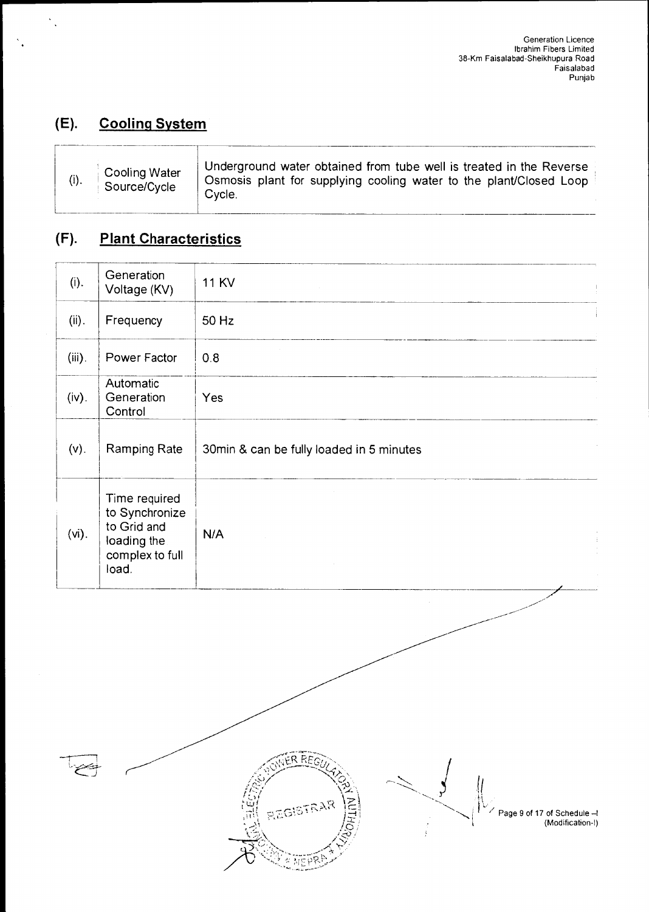# **(E). Cooling System**

# **(F). Plant Characteristics**

| (i).      | Generation<br>Voltage (KV)                                                                | <b>11 KV</b><br>ţ                        |
|-----------|-------------------------------------------------------------------------------------------|------------------------------------------|
| (ii).     | Frequency                                                                                 | 50 Hz                                    |
| $(iii)$ . | Power Factor                                                                              | 0.8                                      |
| (iv).     | Automatic<br>Generation<br>Control                                                        | Yes                                      |
| $(v)$ .   | Ramping Rate                                                                              | 30min & can be fully loaded in 5 minutes |
| $(vi)$ .  | Time required<br>to Synchronize<br>to Grid and<br>loading the<br>complex to full<br>load. | N/A<br>$\frac{1}{2}$                     |



Page 9 of 17 of Schedule —I (Modification-I)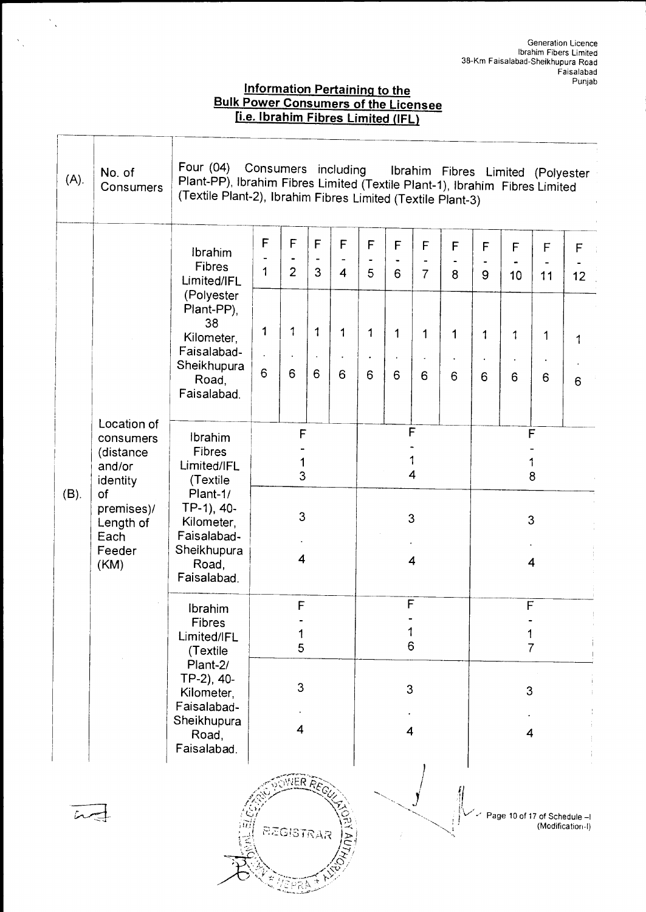## **Information Pertaining to the Bulk Power Consumers of the Licensee Ile. Ibrahim Fibres Limited (IFL)**

 $\frac{1}{\sqrt{2}}\sum_{i=1}^{n} \frac{1}{\sqrt{2}}\left(\frac{1}{\sqrt{2}}\right)^2$ 

ſ

 $\propto$ 

| $(A)$ . | No. of<br>Consumers                                                                                                    | Four $(04)$                                                                                                                                       | Consumers including<br>Ibrahim Fibres Limited (Polyester<br>Plant-PP), Ibrahim Fibres Limited (Textile Plant-1), Ibrahim Fibres Limited<br>(Textile Plant-2), Ibrahim Fibres Limited (Textile Plant-3) |                               |                                        |                     |                               |                  |                       |                  |                                    |                   |                                     |                   |  |  |
|---------|------------------------------------------------------------------------------------------------------------------------|---------------------------------------------------------------------------------------------------------------------------------------------------|--------------------------------------------------------------------------------------------------------------------------------------------------------------------------------------------------------|-------------------------------|----------------------------------------|---------------------|-------------------------------|------------------|-----------------------|------------------|------------------------------------|-------------------|-------------------------------------|-------------------|--|--|
|         |                                                                                                                        | Ibrahim<br>Fibres<br>Limited/IFL<br>(Polyester                                                                                                    | F<br>1                                                                                                                                                                                                 | F<br>$\overline{2}$           | F<br>$\qquad \qquad \blacksquare$<br>3 | F<br>$\overline{4}$ | F<br>$\blacksquare$<br>5      | F<br>6           | F<br>$\overline{7}$   | F<br>8           | F<br>$\hbox{\small -}$<br>9        | F<br>10           | F<br>$\overline{\phantom{a}}$<br>11 | $\mathsf F$<br>12 |  |  |
|         |                                                                                                                        | Plant-PP),<br>38<br>Kilometer.<br>Faisalabad-<br>Sheikhupura<br>Road,<br>Faisalabad.                                                              | 1<br>6                                                                                                                                                                                                 | $\mathbf 1$<br>$\bullet$<br>6 | 1<br>$\bullet$<br>6                    | 1<br>6              | $\mathbf 1$<br>$\bullet$<br>6 | $\mathbf 1$<br>6 | 1<br>6                | $\mathbf 1$<br>6 | $\mathbf{1}$<br>6                  | $\mathbf{1}$<br>6 | 1<br>$\bullet$<br>6                 | 1<br>6            |  |  |
| $(B)$ . | Location of<br>consumers<br>(distance<br>and/or<br>identity<br>of<br>premises)/<br>Length of<br>Each<br>Feeder<br>(KM) | Ibrahim<br><b>Fibres</b><br>Limited/IFL<br>(Textile<br>Plant-1/<br>TP-1), 40-<br>Kilometer,<br>Faisalabad-<br>Sheikhupura<br>Road,<br>Faisalabad. | F<br>1<br>3<br>3<br>4                                                                                                                                                                                  |                               |                                        |                     |                               |                  | F<br>1<br>4<br>3<br>4 |                  | $\overline{F}$<br>1<br>8<br>3<br>4 |                   |                                     |                   |  |  |
|         |                                                                                                                        | Ibrahim<br>Fibres<br>Limited/IFL<br>(Textile                                                                                                      | $\mathsf F$<br>5                                                                                                                                                                                       |                               |                                        |                     | F<br>6                        |                  |                       |                  | F<br>7                             |                   |                                     |                   |  |  |
|         |                                                                                                                        | Plant-2/<br>TP-2), 40-<br>Kilometer,<br>Faisalabad-<br>Sheikhupura<br>Road,<br>Faisalabad.                                                        | 3<br>4                                                                                                                                                                                                 |                               |                                        |                     | 3<br>4                        |                  |                       |                  | 3<br>4                             |                   |                                     |                   |  |  |
|         |                                                                                                                        |                                                                                                                                                   |                                                                                                                                                                                                        | REGISTRAR                     | NER REGI                               |                     |                               |                  |                       |                  |                                    |                   | Page 10 of 17 of Schedule -I        | (Modification-I)  |  |  |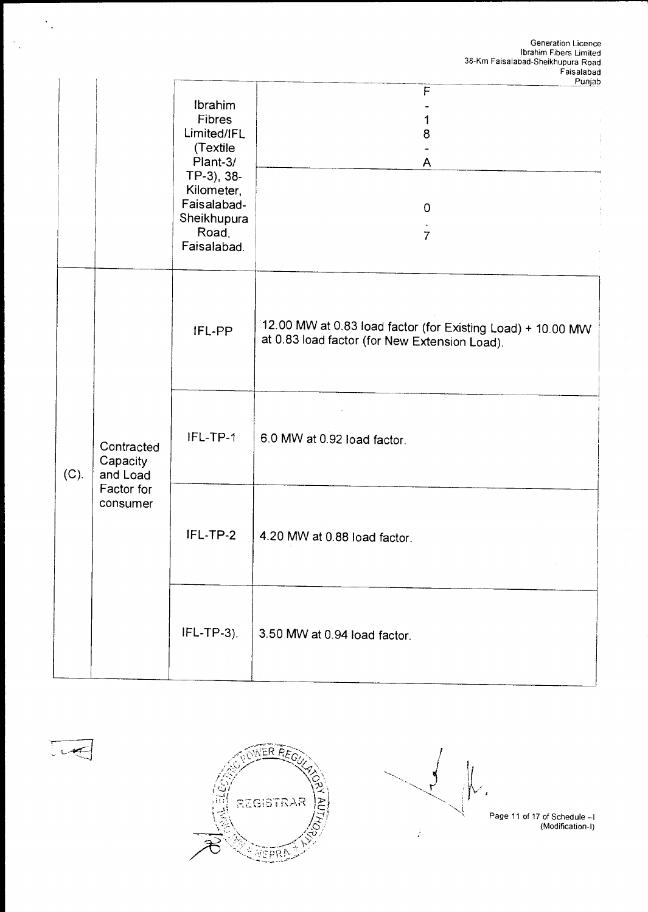|      |                                    |                                                                                                                                                          | Punjab                                                                                                       |
|------|------------------------------------|----------------------------------------------------------------------------------------------------------------------------------------------------------|--------------------------------------------------------------------------------------------------------------|
|      |                                    | <b>Ibrahim</b><br><b>Fibres</b><br>Limited/IFL<br>(Textile<br>Plant-3/<br>TP-3), 38-<br>Kilometer,<br>Faisalabad-<br>Sheikhupura<br>Road,<br>Faisalabad. | $\mathsf F$<br>1<br>8<br>A<br>$\mathbf 0$<br>$\overline{7}$                                                  |
|      |                                    | IFL-PP                                                                                                                                                   | 12.00 MW at 0.83 load factor (for Existing Load) + 10.00 MW<br>at 0.83 load factor (for New Extension Load). |
| (C). | Contracted<br>Capacity<br>and Load | IFL-TP-1                                                                                                                                                 | 6.0 MW at 0.92 load factor.                                                                                  |
|      | Factor for<br>consumer             | IFL-TP-2                                                                                                                                                 | 4.20 MW at 0.88 load factor.                                                                                 |
|      |                                    | $IFL-TP-3$ ).                                                                                                                                            | 3.50 MW at 0.94 load factor.                                                                                 |

 $\ddot{\phantom{a}}$ 

 $\bar{\beta}$ 

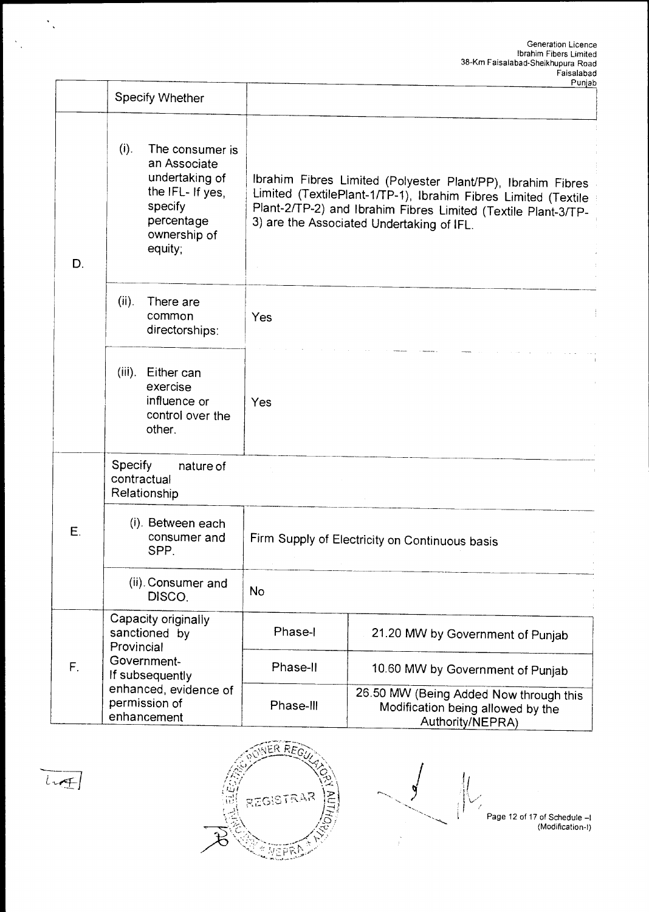|    | Specify Whether                                                                                                                      |                                                                                                                                                                                                                                             | ι υπισω                                                                                         |  |  |  |  |  |  |
|----|--------------------------------------------------------------------------------------------------------------------------------------|---------------------------------------------------------------------------------------------------------------------------------------------------------------------------------------------------------------------------------------------|-------------------------------------------------------------------------------------------------|--|--|--|--|--|--|
| D. | $(i)$ .<br>The consumer is<br>an Associate<br>undertaking of<br>the IFL- If yes,<br>specify<br>percentage<br>ownership of<br>equity; | Ibrahim Fibres Limited (Polyester Plant/PP), Ibrahim Fibres<br>Limited (TextilePlant-1/TP-1), Ibrahim Fibres Limited (Textile<br>Plant-2/TP-2) and Ibrahim Fibres Limited (Textile Plant-3/TP-<br>3) are the Associated Undertaking of IFL. |                                                                                                 |  |  |  |  |  |  |
|    | (ii).<br>There are<br>common<br>directorships:                                                                                       | Yes                                                                                                                                                                                                                                         |                                                                                                 |  |  |  |  |  |  |
|    | $(iii)$ .<br>Either can<br>exercise<br>influence or<br>control over the<br>other.                                                    | Yes                                                                                                                                                                                                                                         |                                                                                                 |  |  |  |  |  |  |
|    | Specify<br>nature of<br>contractual<br>Relationship                                                                                  |                                                                                                                                                                                                                                             |                                                                                                 |  |  |  |  |  |  |
| Ε. | (i). Between each<br>consumer and<br>SPP.                                                                                            | Firm Supply of Electricity on Continuous basis                                                                                                                                                                                              |                                                                                                 |  |  |  |  |  |  |
|    | (ii). Consumer and<br>DISCO.                                                                                                         | <b>No</b>                                                                                                                                                                                                                                   |                                                                                                 |  |  |  |  |  |  |
|    | Capacity originally<br>sanctioned by<br>Provincial                                                                                   | Phase-I                                                                                                                                                                                                                                     | 21.20 MW by Government of Punjab                                                                |  |  |  |  |  |  |
| F. | Government-<br>If subsequently                                                                                                       | Phase-II                                                                                                                                                                                                                                    | 10.60 MW by Government of Punjab                                                                |  |  |  |  |  |  |
|    | enhanced, evidence of<br>permission of<br>enhancement                                                                                | Phase-III                                                                                                                                                                                                                                   | 26.50 MW (Being Added Now through this<br>Modification being allowed by the<br>Authority/NEPRA) |  |  |  |  |  |  |



 $\ddot{\phantom{0}}$  .



 $\frac{1}{\sqrt{1-\frac{1}{2}}}$  $\mathcal{E}$ 

Page 12 of 17 of Schedule —I (Modification-I)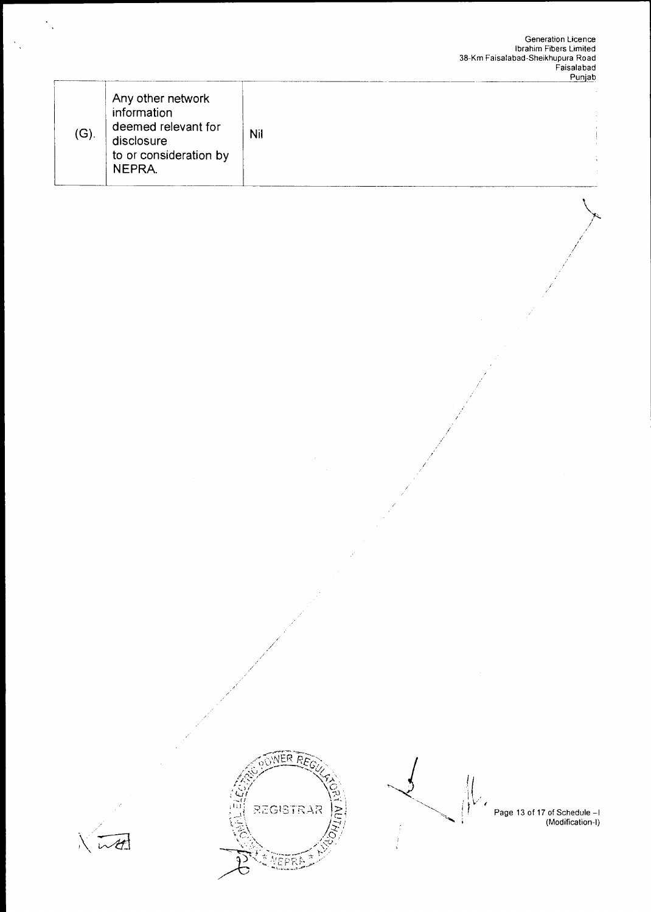|  | $(G)$ . | Any other network<br>information<br>deemed relevant for<br>disclosure<br>to or consideration by<br>NEPRA. | Nil |
|--|---------|-----------------------------------------------------------------------------------------------------------|-----|
|--|---------|-----------------------------------------------------------------------------------------------------------|-----|







Page 13 of 17 of Schedule -1<br>(Modification-I)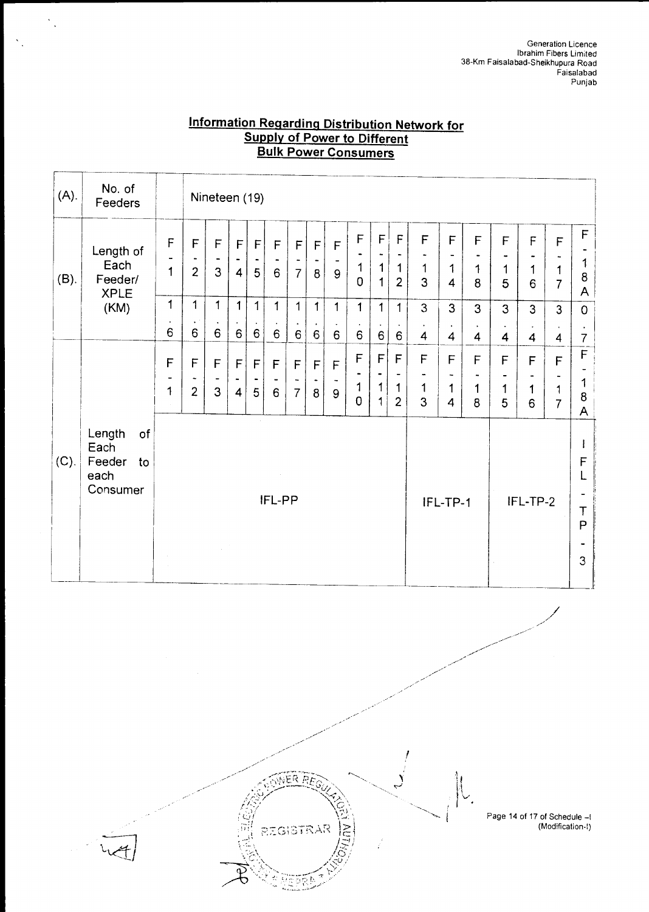## **Information Regarding Distribution Network for Supply of Power to Different Bulk Power Consumers**

| (A).    | No. of<br>Feeders                                        |                                        | Nineteen (19)                                |                                              |                                             |                   |                                     |                                                        |                                |                       |                                    |                                                          |                                                                      |                       |                                                               |                                           |                                                   |             |                                                   |                                               |
|---------|----------------------------------------------------------|----------------------------------------|----------------------------------------------|----------------------------------------------|---------------------------------------------|-------------------|-------------------------------------|--------------------------------------------------------|--------------------------------|-----------------------|------------------------------------|----------------------------------------------------------|----------------------------------------------------------------------|-----------------------|---------------------------------------------------------------|-------------------------------------------|---------------------------------------------------|-------------|---------------------------------------------------|-----------------------------------------------|
| $(B)$ . | Length of<br>Each<br>Feeder/<br><b>XPLE</b>              | $\mathsf F$<br>$\mathbf{1}$            | $\mathsf{F}$<br>$\overline{2}$               | F<br>3                                       | F<br>$\overline{4}$                         | F<br>5            | $\mathsf F$<br>6                    | $\mathsf F$<br>$\tilde{\phantom{a}}$<br>$\overline{7}$ | F<br>$\blacksquare$<br>8       | $\mathsf F$<br>9      | F<br>$\mathbf 1$<br>$\overline{0}$ | $\mathsf F$<br>$\tilde{\phantom{a}}$<br>$\mathbf 1$<br>1 | $\overline{F}$<br>$\hbox{\small -}$<br>$\mathbf 1$<br>$\overline{2}$ | F<br>$\mathbf 1$<br>3 | F<br>$\blacksquare$<br>1<br>$\overline{\mathbf{4}}$           | F<br>1<br>8                               | F<br>1<br>5                                       | F<br>1<br>6 | F<br>1<br>$\overline{7}$                          | F<br>1<br>8<br>A                              |
|         | (KM)                                                     | 1<br>$\bullet$<br>6                    | 1<br>$\ddot{\phantom{0}}$<br>$6\overline{6}$ | $\mathbf{1}$<br>$\bullet$<br>$6\phantom{a}$  | $\mathbf{1}$<br>$\bullet$<br>$6\phantom{a}$ | $\mathbf{1}$<br>6 | $\mathbf{1}$<br>$\blacksquare$<br>6 | $\mathbf 1$<br>$\bullet$<br>6                          | $\mathbf{1}$<br>$6\phantom{a}$ | $\mathbf{1}$<br>6     | $\mathbf{1}$<br>6                  | $\mathbf{1}$<br>$6\phantom{a}$                           | $\mathbf{1}$<br>6                                                    | 3<br>$\bullet$<br>4   | $\overline{3}$<br>$\bullet$<br>$\overline{4}$                 | 3<br>$\bullet$<br>$\overline{\mathbf{4}}$ | $\overline{3}$<br>$\hat{\phantom{a}}$<br>4        | 3<br>4      | $\overline{3}$<br>$\bullet$<br>4                  | $\overline{O}$<br>$\bullet$<br>$\overline{7}$ |
|         |                                                          | F<br>$\qquad \qquad \blacksquare$<br>1 | F<br>۰.<br>$\overline{2}$                    | $\mathsf F$<br>$\overline{\phantom{a}}$<br>3 | $\overline{F}$<br>$\overline{4}$            | $\mathsf{F}$<br>5 | F<br>$\blacksquare$<br>6            | $\overline{F}$<br>$\overline{7}$                       | F<br>8                         | $\mathsf F$<br>۰<br>9 | F<br>1<br>$\overline{0}$           | F<br>$\bullet$<br>1<br>1                                 | F<br>$\qquad \qquad \blacksquare$<br>1<br>$\overline{2}$             | F<br>۰<br>1<br>3      | F<br>$\overline{\phantom{a}}$<br>1<br>$\overline{\mathbf{4}}$ | F<br>1<br>8                               | $\mathsf F$<br>$\overline{\phantom{0}}$<br>1<br>5 | F<br>1<br>6 | F<br>$\tilde{\phantom{a}}$<br>1<br>$\overline{7}$ | $\mathsf F$<br>1<br>8<br>A                    |
| (C).    | Length<br>of<br>Each<br>Feeder<br>to<br>each<br>Consumer |                                        |                                              | $\mathcal{L}^{(2)}$                          |                                             |                   | IFL-PP                              |                                                        |                                |                       |                                    |                                                          |                                                                      |                       | IFL-TP-1                                                      |                                           |                                                   | IFL-TP-2    |                                                   | ł<br>$\mathsf F$<br>L<br>T<br>P<br>3          |

R Æ

REGISTRAR

I

 $\frac{1}{2}$ 

Page 14 of 17 of Schedule —I (Modification-I)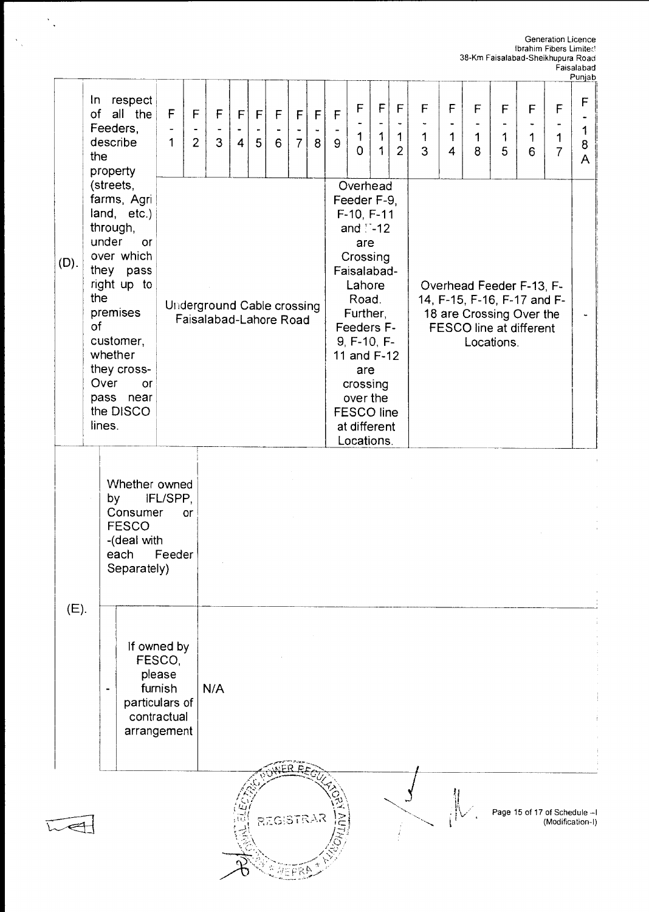Generation Licence Ibrahim Fibers Limited 38-Km Faisalabad-Sheikhupura Road

|         |                                                                                                                                                                                                                                |                                                                                            |                                                                                                                                                                                                                                                                                                                                                                                                                                                            |                     |                     |        |           |                          |                   |                     |                                              |                                 |                                              |                       |                                    |                       |                        |                                          |                          | Faisalabad<br>Punjab            |
|---------|--------------------------------------------------------------------------------------------------------------------------------------------------------------------------------------------------------------------------------|--------------------------------------------------------------------------------------------|------------------------------------------------------------------------------------------------------------------------------------------------------------------------------------------------------------------------------------------------------------------------------------------------------------------------------------------------------------------------------------------------------------------------------------------------------------|---------------------|---------------------|--------|-----------|--------------------------|-------------------|---------------------|----------------------------------------------|---------------------------------|----------------------------------------------|-----------------------|------------------------------------|-----------------------|------------------------|------------------------------------------|--------------------------|---------------------------------|
|         | respect<br>In.<br>of<br>all the<br>Feeders,<br>describe<br>the<br>property                                                                                                                                                     | F<br>$\overline{\phantom{a}}$<br>$\mathbf 1$                                               | $\mathsf F$<br>$\overline{\phantom{a}}$<br>$\overline{2}$                                                                                                                                                                                                                                                                                                                                                                                                  | F<br>$\overline{3}$ | F<br>$\overline{4}$ | F<br>5 | F<br>6    | F<br>۰<br>7 <sup>1</sup> | $\mathsf{F}$<br>8 | F<br>9 <sup>°</sup> | $\mathsf F$<br>$\mathbf 1$<br>$\overline{0}$ | F<br>$\mathbf 1$<br>$\mathbf 1$ | $\mathsf F$<br>$\mathbf 1$<br>$\overline{2}$ | F<br>$\mathbf 1$<br>3 | $\mathsf F$<br>1<br>$\overline{4}$ | F<br>$\mathbf 1$<br>8 | $\mathsf{F}$<br>1<br>5 | $\mathsf{F}$<br>$\blacksquare$<br>1<br>6 | F<br>1<br>$\overline{7}$ | $\mathsf F$<br>1<br>$\bf8$<br>A |
| $(D)$ . | (streets,<br>farms, Agri<br>land, etc.)<br>through,<br>under<br>or<br>over which<br>they pass<br>right up to<br>the<br>premises<br>of<br>customer,<br>whether<br>they cross-<br>Over<br>or<br>pass near<br>the DISCO<br>lines. |                                                                                            | Overhead<br>Feeder F-9,<br>F-10, F-11<br>and $\square$ -12<br>are<br>Crossing<br>Faisalabad-<br>Lahore<br>Overhead Feeder F-13, F-<br>Road.<br>14, F-15, F-16, F-17 and F-<br><b>Underground Cable crossing</b><br>Further,<br>18 are Crossing Over the<br>Faisalabad-Lahore Road<br>Feeders F-<br>FESCO line at different<br>$9, F-10, F-$<br>Locations.<br>11 and F-12<br>are<br>crossing<br>over the<br><b>FESCO line</b><br>at different<br>Locations. |                     |                     |        |           |                          |                   |                     |                                              |                                 |                                              |                       |                                    |                       |                        |                                          |                          |                                 |
|         | by<br><b>FESCO</b><br>each                                                                                                                                                                                                     | Whether owned<br>IFL/SPP,<br>Consumer<br>or<br>-(deal with<br>Feeder<br>Separately)        |                                                                                                                                                                                                                                                                                                                                                                                                                                                            |                     |                     |        |           |                          |                   |                     |                                              |                                 |                                              |                       |                                    |                       |                        |                                          |                          |                                 |
| (E).    |                                                                                                                                                                                                                                | If owned by<br>FESCO,<br>please<br>furnish<br>particulars of<br>contractual<br>arrangement |                                                                                                                                                                                                                                                                                                                                                                                                                                                            |                     |                     |        |           |                          |                   |                     |                                              |                                 |                                              |                       |                                    |                       |                        |                                          |                          |                                 |
|         |                                                                                                                                                                                                                                |                                                                                            |                                                                                                                                                                                                                                                                                                                                                                                                                                                            |                     |                     |        | REGISTRAR |                          |                   |                     |                                              |                                 |                                              |                       |                                    |                       |                        | Page 15 of 17 of Schedule -- I           | (Modification-I)         |                                 |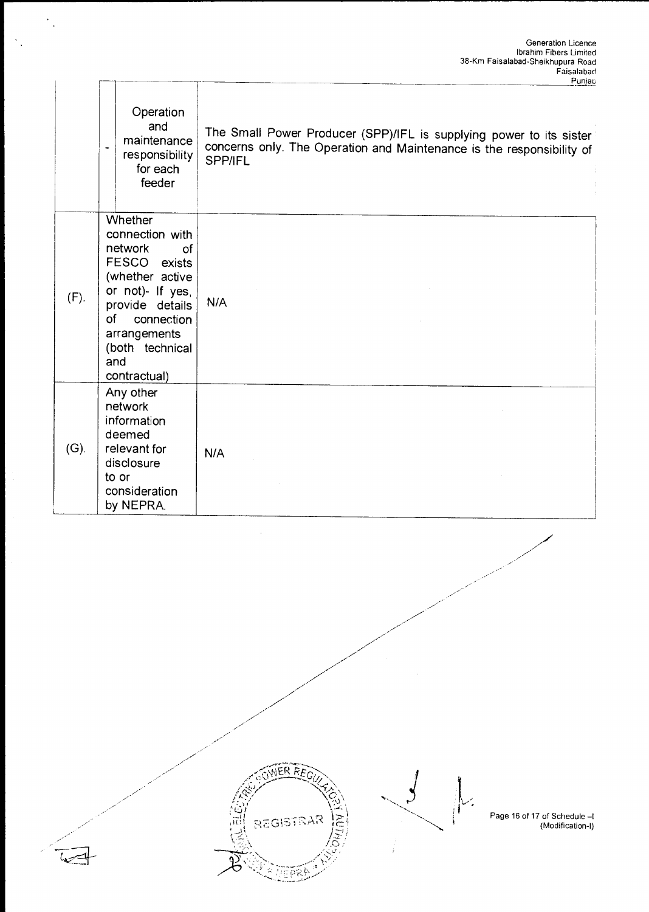|         |                                                                                                                                                                                                            | Punjac                                                                                                                                                         |
|---------|------------------------------------------------------------------------------------------------------------------------------------------------------------------------------------------------------------|----------------------------------------------------------------------------------------------------------------------------------------------------------------|
|         | Operation<br>and<br>maintenance<br>$\overline{a}$<br>responsibility<br>for each<br>feeder                                                                                                                  | The Small Power Producer (SPP)/IFL is supplying power to its sister<br>concerns only. The Operation and Maintenance is the responsibility of<br><b>SPP/IFL</b> |
| (F).    | <b>Whether</b><br>connection with<br>network<br>of<br>FESCO exists<br>(whether active<br>or not)- If yes,<br>provide details<br>of<br>connection<br>arrangements<br>(both technical<br>and<br>contractual) | N/A                                                                                                                                                            |
| $(G)$ . | Any other<br>network<br>information<br>deemed<br>relevant for<br>disclosure<br>to or<br>consideration<br>by NEPRA.                                                                                         | N/A                                                                                                                                                            |

 $\ddot{\cdot}$ 



77.



Page 16 of 17 of Schedule —I (Modification-I)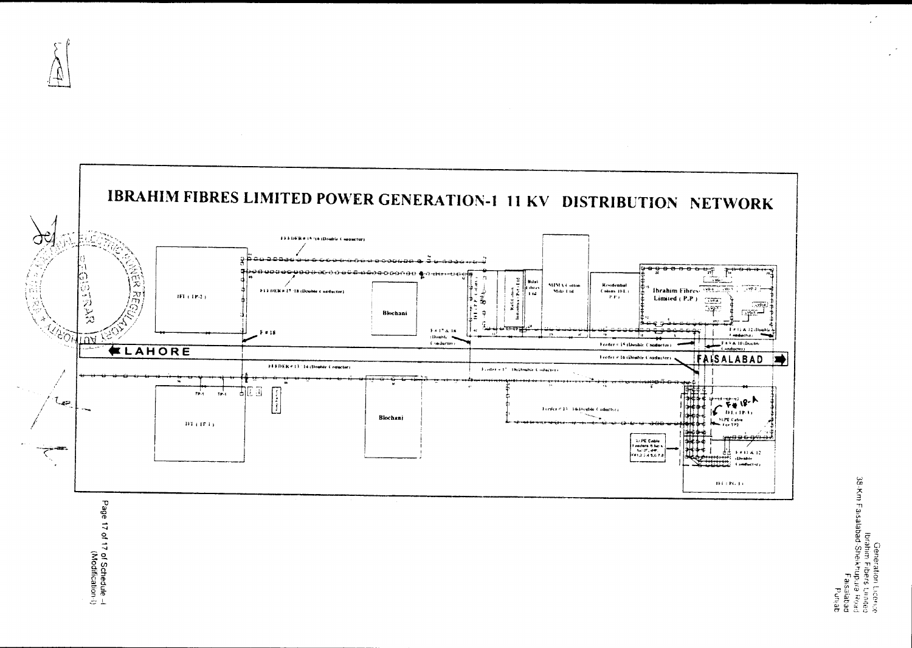



Generation Liconce<br>Post shuturishad Shakhupus Bost<br>Post shuturishad Shakhupus<br>South Shakhupus

Page 17 of 17 of Schedule --!<br>Page 17 of 17 of Schedule --!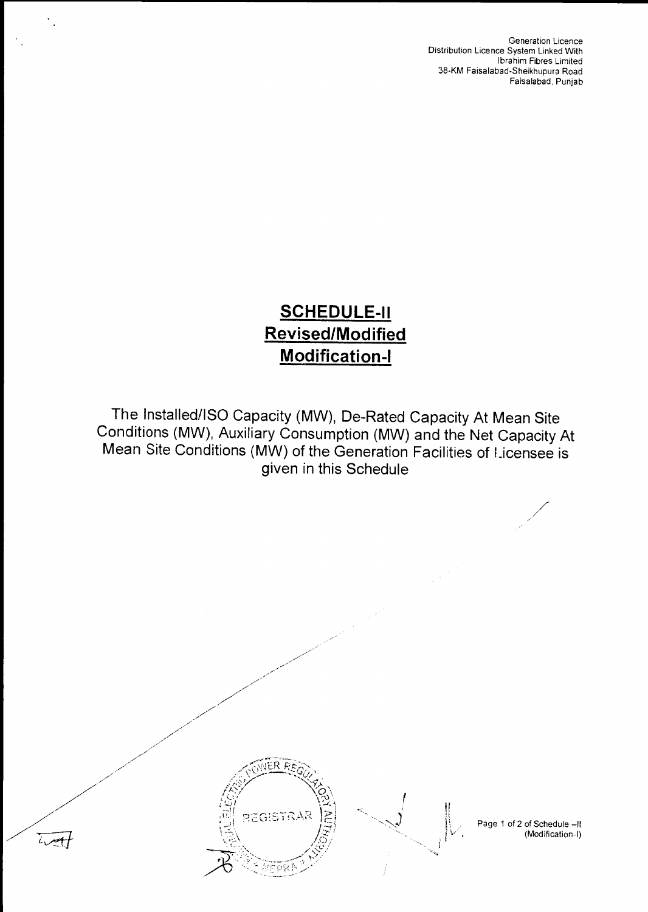Generation Licence Distribution Licence System Linked With Ibrahim Fibres Limited 38-KM Faisalabad-Sheikhupura Road Faisalabad, Punjab

# **SCHEDULE-II Revised/Modified Modification-I**

The Installed/ISO Capacity (MW), De-Rated Capacity At Mean Site Conditions (MW), Auxiliary Consumption (MW) and the Net Capacity At Mean Site Conditions (MW) of the Generation Facilities of Licensee is given in this Schedule



 $i\sqrt{t}$ 



Page 1 of 2 of Schedule —II (Modification-I)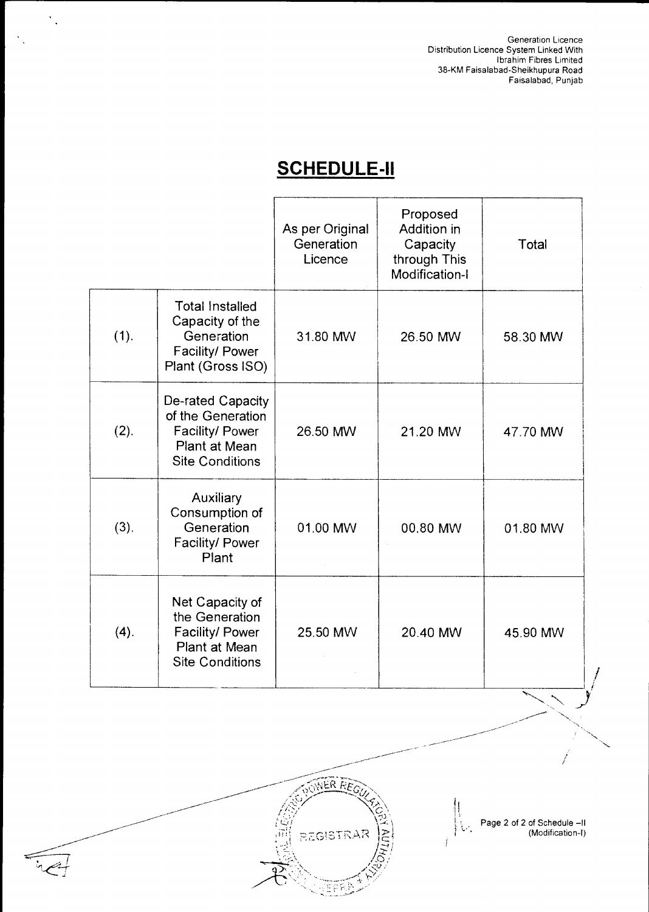Generation Licence Distribution Licence System Linked With Ibrahim Fibres Limited 38-KM Faisalabad-Sheikhupura Road Faisalabad, Punjab

# **SCHEDULE-II**

 $\frac{1}{2}$ 

|      |                                                                                                             | As per Original<br>Generation<br>Licence | Proposed<br>Addition in<br>Capacity<br>through This<br>Modification-I | Total    |
|------|-------------------------------------------------------------------------------------------------------------|------------------------------------------|-----------------------------------------------------------------------|----------|
| (1). | <b>Total Installed</b><br>Capacity of the<br>Generation<br>Facility/ Power<br>Plant (Gross ISO)             | 31.80 MW                                 | 26.50 MW                                                              | 58.30 MW |
| (2). | De-rated Capacity<br>of the Generation<br>Facility/ Power<br><b>Plant at Mean</b><br><b>Site Conditions</b> | 26.50 MW                                 | 21.20 MW                                                              | 47.70 MW |
| (3). | Auxiliary<br>Consumption of<br>Generation<br>Facility/ Power<br>Plant                                       | 01.00 MW                                 | 00.80 MW                                                              | 01.80 MW |
| (4). | Net Capacity of<br>the Generation<br>Facility/ Power<br>Plant at Mean<br><b>Site Conditions</b>             | 25.50 MW                                 | 20.40 MW                                                              | 45.90 MW |



 $|U|$ Page 2 of 2 of Schedule —II (Modification-I)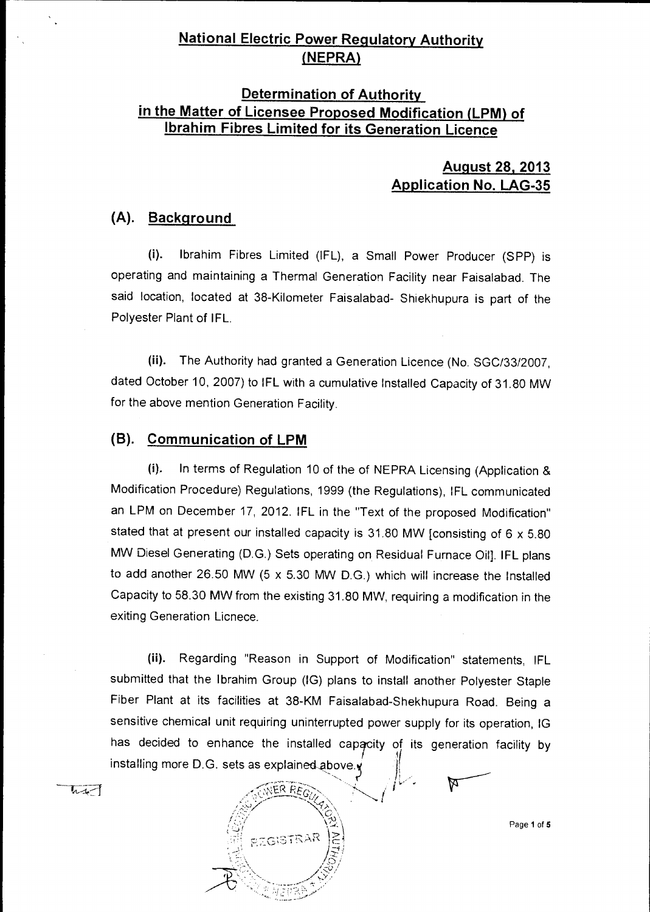## **National Electric Power Regulatory Authority (NEPRA)**

## **Determination of Authority in the Matter of Licensee Proposed Modification (LPM) of Ibrahim Fibres Limited for its Generation Licence**

## **August 28, 2013 Application No. LAG-35**

## **(A). Background**

(i). Ibrahim Fibres Limited (IFL), a Small Power Producer (SPP) is operating and maintaining a Thermal Generation Facility near Faisalabad. The said location, located at 38-Kilometer Faisalabad- Shiekhupura is part of the Polyester Plant of IFL.

(ii). The Authority had granted a Generation Licence (No. SGC/3312007, dated October 10, 2007) to IFL with a cumulative Installed Capacity of 31.80 MW for the above mention Generation Facility.

## **(B). Communication of LPM**

(i). In terms of Regulation 10 of the of NEPRA Licensing (Application & Modification Procedure) Regulations, 1999 (the Regulations), IFL communicated an LPM on December 17, 2012. IFL in the "Text of the proposed Modification" stated that at present our installed capacity is 31.80 MW [consisting of 6 x 5.80 MW Diesel Generating (D.G.) Sets operating on Residual Furnace Oil]. IFL plans to add another 26.50 MW (5 x 5.30 MW D.G.) which will increase the Installed Capacity to 58.30 MW from the existing 31.80 MW, requiring a modification in the exiting Generation Licnece.

(ii). Regarding "Reason in Support of Modification" statements, IFL submitted that the Ibrahim Group (IG) plans to install another Polyester Staple Fiber Plant at its facilities at 38-KM Faisalabad-Shekhupura Road. Being a sensitive chemical unit requiring uninterrupted power supply for its operation, IG has decided to enhance the installed capacity of its generation facility by it installing more D.G. sets as explained above.



Page 1 of 5

似一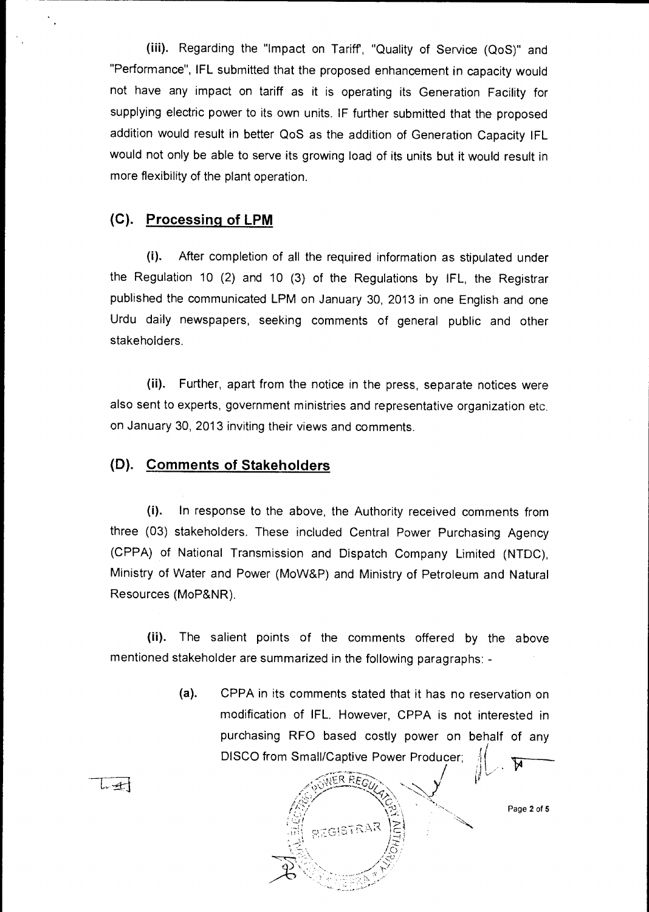(iii). Regarding the "Impact on Tariff, "Quality of Service (QoS)" and "Performance", IFL submitted that the proposed enhancement in capacity would not have any impact on tariff as it is operating its Generation Facility for supplying electric power to its own units. IF further submitted that the proposed addition would result in better QoS as the addition of Generation Capacity IFL would not only be able to serve its growing load of its units but it would result in more flexibility of the plant operation.

## **(C). Processing of LPM**

 $\frac{1}{2}$ 

(i). After completion of all the required information as stipulated under the Regulation 10 (2) and 10 (3) of the Regulations by IFL, the Registrar published the communicated LPM on January 30, 2013 in one English and one Urdu daily newspapers, seeking comments of general public and other stakeholders.

(ii). Further, apart from the notice in the press, separate notices were also sent to experts, government ministries and representative organization etc. on January 30, 2013 inviting their views and comments.

## **(D). Comments of Stakeholders**

(i). In response to the above, the Authority received comments from three (03) stakeholders. These included Central Power Purchasing Agency (CPPA) of National Transmission and Dispatch Company Limited (NTDC), Ministry of Water and Power (MoW&P) and Ministry of Petroleum and Natural Resources (MoP&NR).

(ii). The salient points of the comments offered by the above mentioned stakeholder are summarized in the following paragraphs: -

> **(a).** CPPA in its comments stated that it has no reservation on modification of IFL. However, CPPA is not interested in purchasing RFO based costly power on behalf of any DISCO from Small/Captive Power Producer;



Page 2 of 5

أسيسيا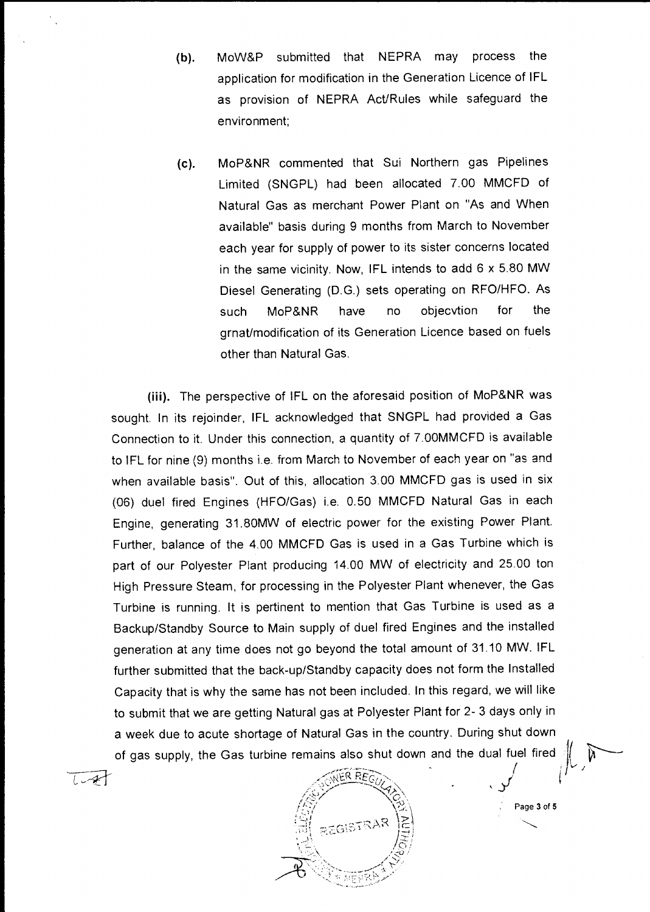- (b). MoW&P submitted that NEPRA may process the application for modification in the Generation Licence of IFL as provision of NEPRA Act/Rules while safeguard the environment;
- (c). MoP&NR commented that Sui Northern gas Pipelines Limited (SNGPL) had been allocated 7.00 MMCFD of Natural Gas as merchant Power Plant on "As and When available" basis during 9 months from March to November each year for supply of power to its sister concerns located in the same vicinity. Now, IFL intends to add 6 x 5.80 MW Diesel Generating (D.G.) sets operating on RFO/HFO. As such MoP&NR have no objecvtion for the grnat/modification of its Generation Licence based on fuels other than Natural Gas.

**(iii).** The perspective of IFL on the aforesaid position of MoP&NR was sought. In its rejoinder, IFL acknowledged that SNGPL had provided a Gas Connection to it. Under this connection, a quantity of 7.00MMCFD is available to IFL for nine (9) months i.e. from March to November of each year on "as and when available basis". Out of this, allocation 3.00 MMCFD gas is used in six (06) duel fired Engines (HFO/Gas) i.e. 0.50 MMCFD Natural Gas in each Engine, generating 31.80MW of electric power for the existing Power Plant. Further, balance of the 4.00 MMCFD Gas is used in a Gas Turbine which is part of our Polyester Plant producing 14.00 MW of electricity and 25.00 ton High Pressure Steam, for processing in the Polyester Plant whenever, the Gas Turbine is running. It is pertinent to mention that Gas Turbine is used as a Backup/Standby Source to Main supply of duel fired Engines and the installed generation at any time does not go beyond the total amount of 31.10 MW. IFL further submitted that the back-up/Standby capacity does not form the Installed Capacity that is why the same has not been included. In this regard, we will like to submit that we are getting Natural gas at Polyester Plant for 2- 3 days only in a week due to acute shortage of Natural Gas in the country. During shut down of gas supply, the Gas turbine remains also shut down and the dual fuel fired

ER RE  $\langle \hat{e}_\nu \rangle$ **RATIVOS**  $\frac{1}{2}$ REGISTRA •

فليهض

Page 3 of 5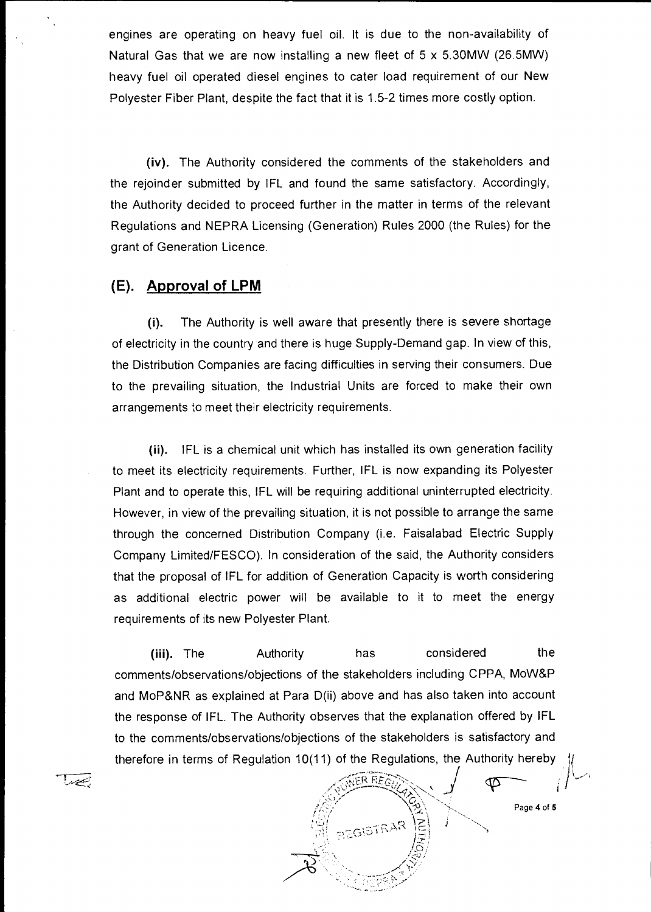engines are operating on heavy fuel oil. It is due to the non-availability of Natural Gas that we are now installing a new fleet of 5 x 5.30MW (26.5MW) heavy fuel oil operated diesel engines to cater load requirement of our New Polyester Fiber Plant, despite the fact that it is 1.5-2 times more costly option.

(iv). The Authority considered the comments of the stakeholders and the rejoinder submitted by IFL and found the same satisfactory. Accordingly, the Authority decided to proceed further in the matter in terms of the relevant Regulations and NEPRA Licensing (Generation) Rules 2000 (the Rules) for the grant of Generation Licence.

## **(E). Approval of LPM**

أتتصيص

(i). The Authority is well aware that presently there is severe shortage of electricity in the country and there is huge Supply-Demand gap. In view of this, the Distribution Companies are facing difficulties in serving their consumers. Due to the prevailing situation, the Industrial Units are forced to make their own arrangements to meet their electricity requirements.

(ii). IFL is a chemical unit which has installed its own generation facility to meet its electricity requirements. Further, IFL is now expanding its Polyester Plant and to operate this, !FL will be requiring additional uninterrupted electricity. However, in view of the prevailing situation, it is not possible to arrange the same through the concerned Distribution Company (i.e. Faisalabad Electric Supply Company Limited/FESCO). In consideration of the said, the Authority considers that the proposal of IFL for addition of Generation Capacity is worth considering as additional electric power will be available to it to meet the energy requirements of its new Polyester Plant.

(iii). The Authority has considered the comments/observations/objections of the stakeholders including CPPA, MoW&P and MoP&NR as explained at Para D(ii) above and has also taken into account the response of IFL. The Authority observes that the explanation offered by IFL to the comments/observations/objections of the stakeholders is satisfactory and therefore in terms of Regulation 10(11) of the Regulations, the Authority hereby



Page 4 of 5

 $\,\,\varphi$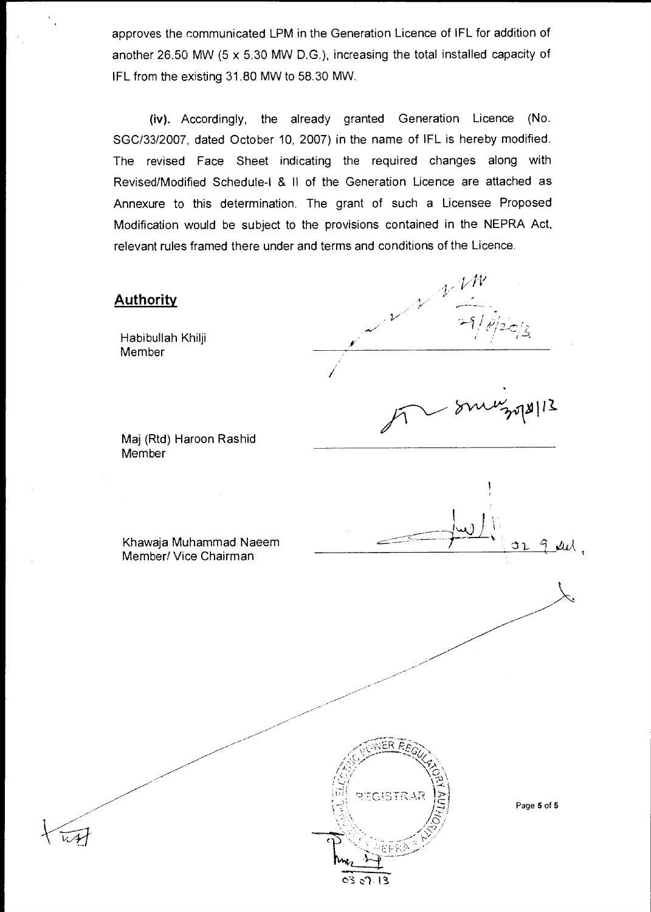approves the communicated LPM in the Generation Licence of IFL for addition of another 26.50 MW (5 x 5.30 MW D.G.), increasing the total installed capacity of IFL from the existing 31.80 MW to 58.30 MW.

(iv). Accordingly, the already granted Generation Licence (No. SGC/33/2007, dated October 10, 2007) in the name of IFL is hereby modified. The revised Face Sheet indicating the required changes along with Revised/Modified Schedule-I & II of the Generation Licence are attached as Annexure to this determination. The grant of such a Licensee Proposed Modification would be subject to the provisions contained in the NEPRA Act, relevant rules framed there under and terms and conditions of the Licence.

# $4.11$ **Authority** Habibullah Khilji a Member  $5018112$ Maj (Rtd) Haroon Rashid Member Khawaja Muhammad Naeem  $\mu$ d q. Member/ Vice Chairman REGISTRAP Page 5 of 5

 $03013$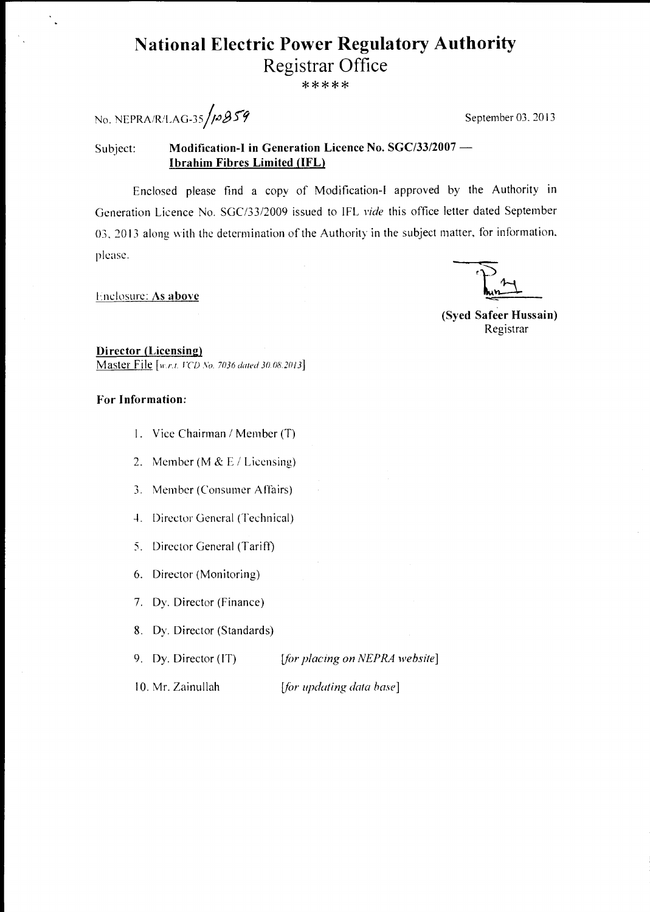# **National Electric Power Regulatory Authority**  Registrar Office

\*\*\*\*\*

No. NEPRA/R/LAG-35/ $\beta$   $\beta$ 59

 $\frac{1}{\sqrt{2}}$ 

#### Subject: **Modification-1 in Generation Licence No. SGC/33/2007 — Ibrahim Fibres Limited (IFL)**

Enclosed please find a copy of Modification-I approved by the Authority in Generation Licence No. SGC/33/2009 issued to IFL *vide* this office letter dated September 03, 2013 along with the determination of the Authority in the subject matter, for information, Please.

Enclosure: **As above** 

**(Syed Safeer Hussain)**  Registrar

**Director (Licensing)**  Master File [w.r.t. *FCD No. 7036 dated 30.08.2013*]

#### **For Information:**

- 1. Vice Chairman / Member (T)
- 2. Member (M &  $E /$  Licensing)
- 3. Member (Consumer Affairs)
- 4. Director General (Technical)
- 5. Director General (Tariff)
- 6. Director (Monitoring)
- 7. Dy. Director (Finance)
- 8. Dy. Director (Standards)
- 

9. Dy. Director (IT) *[for placing on NEPRA website]* 

10. Mr. Zainullah *[for updating data base]*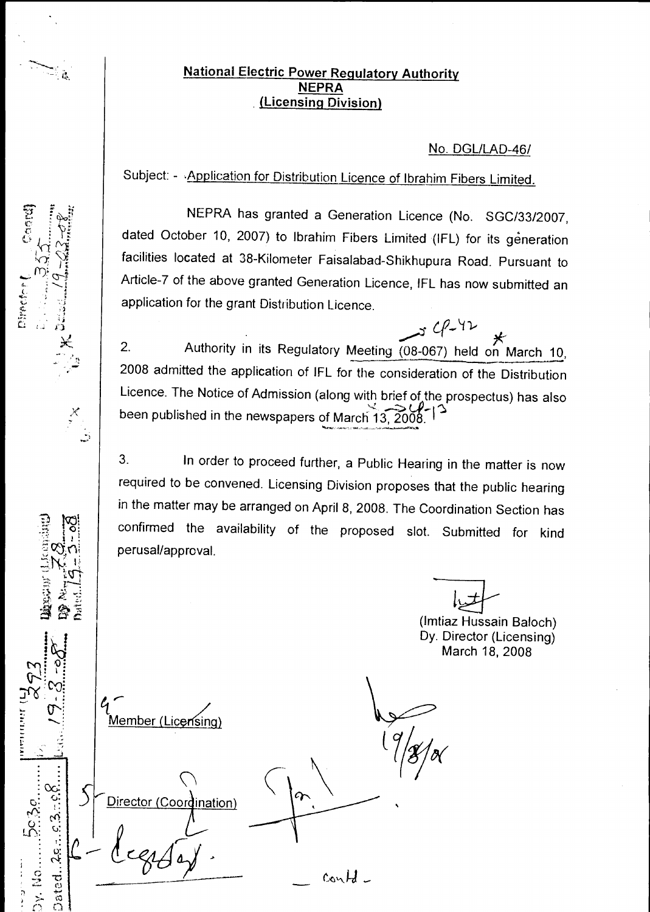## ি<sub> হৈ</sub> বিভিন্ন সম্প্ৰাণ কৰা <u>National Electric Power Regulatory Authority</u> **NEPRA (Licensing Division)**

## No. DGL/LAD-46/

Subject: - Application for Distribution Licence of Ibrahim Fibers Limited.

NEPRA has granted a Generation Licence (No. SGC/33/2007, dated October 10, 2007) to Ibrahim Fibers Limited (IFL) for its generation facilities located at 38-Kilometer Faisalabad-Shikhupura Road. Pursuant to Article-7 of the above granted Generation Licence, IFL has now submitted an application for the grant Distribution Licence.

 $34242$ 2. Authority in its Regulatory Meeting (08-067) held on March 10, 2008 admitted the application of IFL for the consideration of the Distribution Licence. The Notice of Admission (along with brief of the prospectus) has also been published in the newspapers of March 13, 2008

3. In order to proceed further, a Public Hearing in the matter is now required to be convened. Licensing Division proposes that the public hearing in the matter may be arranged on April 8, 2008. The Coordination Section has confirmed the availability of the proposed slot. Submitted for kind perusal/approval.

(Imtiaz Hussain Baloch) Dy. Director (Licensing) March 18, 2008

contd

Member (Licensing)

Director (

 $\chi$ 

 $\text{Dated}... \text{2s}$  and  $\text{2s}$  and  $\text{2s}$ 

**Dy. No. ....** 

 $\frac{1}{2}$ 

Director (Coordination)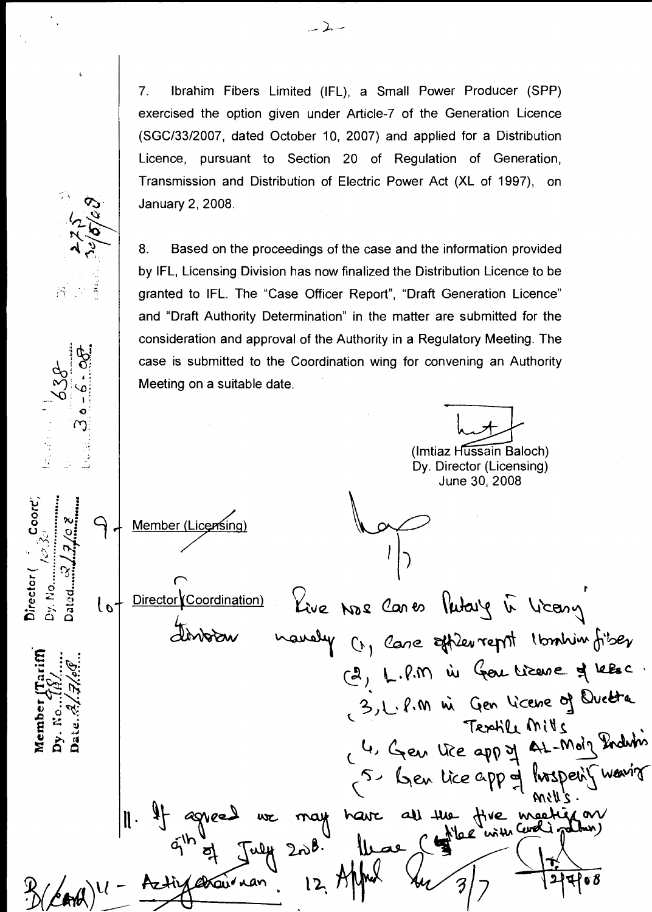Ibrahim Fibers Limited (IFL), a Small Power Producer (SPP) 7. exercised the option given under Article-7 of the Generation Licence (SGC/33/2007, dated October 10, 2007) and applied for a Distribution Licence, pursuant to Section 20 of Regulation of Generation, Transmission and Distribution of Electric Power Act (XL of 1997), on January 2, 2008.

8. Based on the proceedings of the case and the information provided by IFL, Licensing Division has now finalized the Distribution Licence to be granted to IFL. The "Case Officer Report", "Draft Generation Licence" and "Draft Authority Determination" in the matter are submitted for the consideration and approval of the Authority in a Regulatory Meeting. The case is submitted to the Coordination wing for convening an Authority Meeting on a suitable date.

(Imtiaz Hussain Baloch) Dy. Director (Licensing)

June 30, 2008

Member (Licensing)

Coord

Director Dy. No Kive Nos Cares Putary in Liceny Director (Coordination)  $\sigma$ manely (1, Care officer repri Ibonhim fiber (2, L.P.M in Ger Lizene of Leesc.<br>3, L.P.M in Gen Licene of Duette Member ( Textile Mills 4. Gen Uice app of AL-Moig Induin 5. Gen lice app of hosperif wavior may have all the five meeting on<br>) ~ B. (lease ( the with cooking about) lles . Aztin etan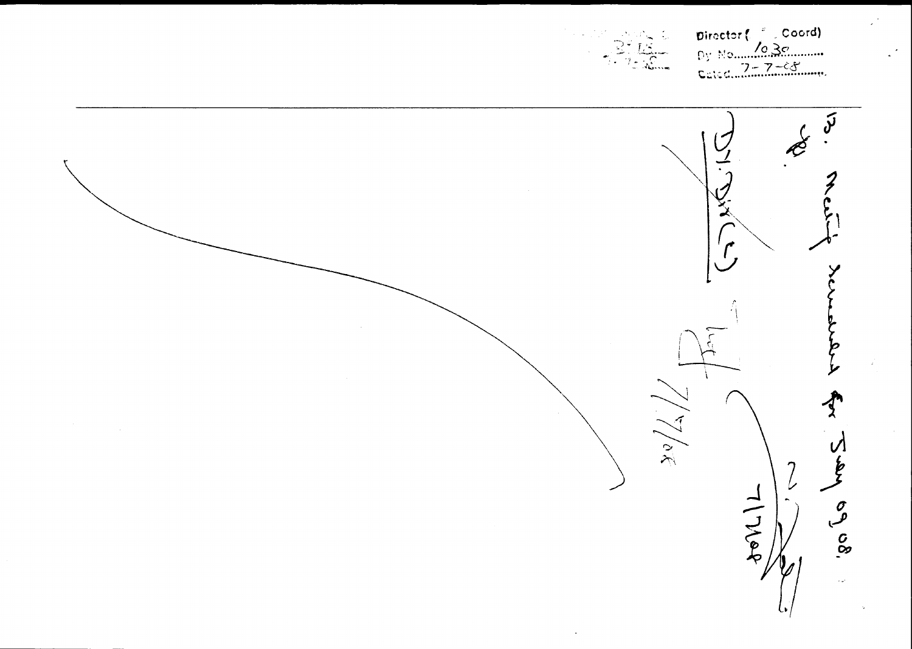



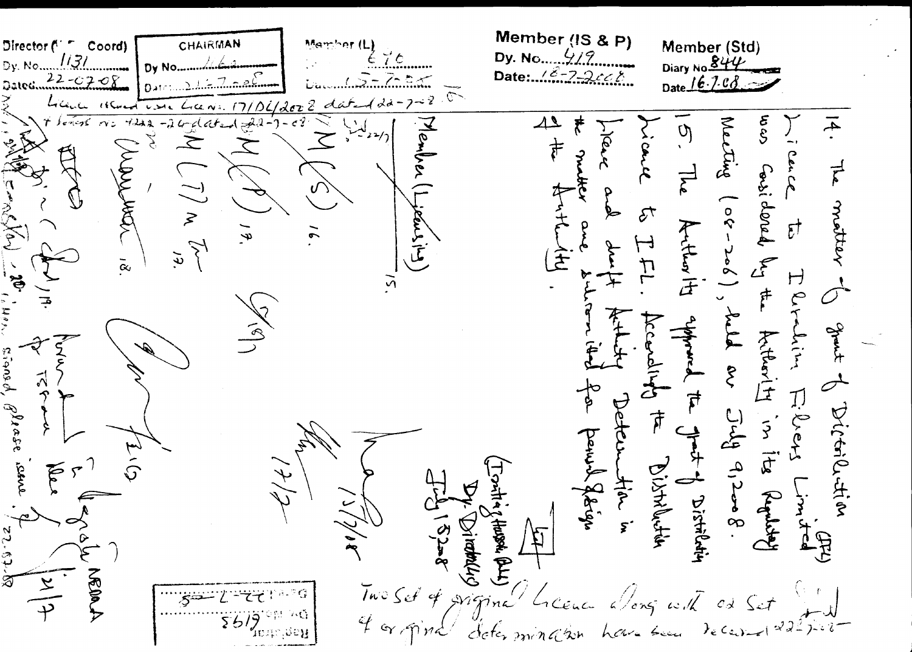CHAIRMAN Member (Std)<br>Diary No. 844 Mamber ( **Director** Coord) 1131 Dv. No Date: 12-2-2448  $16.7.08 -\mathcal{O} \hat{X}$  $\mathfrak{F}$  $\overline{4}$  $\Delta \Delta$  $\frac{1}{2}$ Kel  $\Delta$  $\overline{\mathcal{G}}$ **i**  $\frac{1}{\sqrt{2}}$ ≂ thys MAN Gosi dered  $\vec{\epsilon}$  $\overline{\vec{\xi}}$ motter KUL  $\geq$  $5 +$ ears the  $\vec{c}^{\dagger}$  $\frac{1}{3}$ アーキュ コ  $\tilde{e}$  $\widehat{\mathcal{F}}$  $\mathcal{L}$  $\bar{\alpha}$  $\mapsto$  $\frac{1}{2}$ FF<br>F  $\begin{matrix} 2 \\ 1 \end{matrix}$ ak<br>Y Arthur  $\mathscr{U}$  $\zeta$  is any  $\phi$ ᡟ  $\zeta$  $\tilde{\mathcal{E}}$  $\overline{\mathcal{I}}$ IJ  $\mathcal{J}$ lecte Dictriled tion  $544$  9,2008 Dreys  $\tilde{z}$  $\frac{1}{1}$ panul fotign  $\overrightarrow{a}$ Bistriction t-1 Distriction Flow in Reported لمبر<br>م **Conduction**  $12 - 8$ Hussel BLLI  $\mathfrak{Z}$  $\mathsf{\Sigma}$  $\overline{I}$ we Sef of Migina  $c\lambda$ 56 ી ગોલ?  $f_{\epsilon}$  (a)  $\rightarrow$  $h$ *Ch* $v$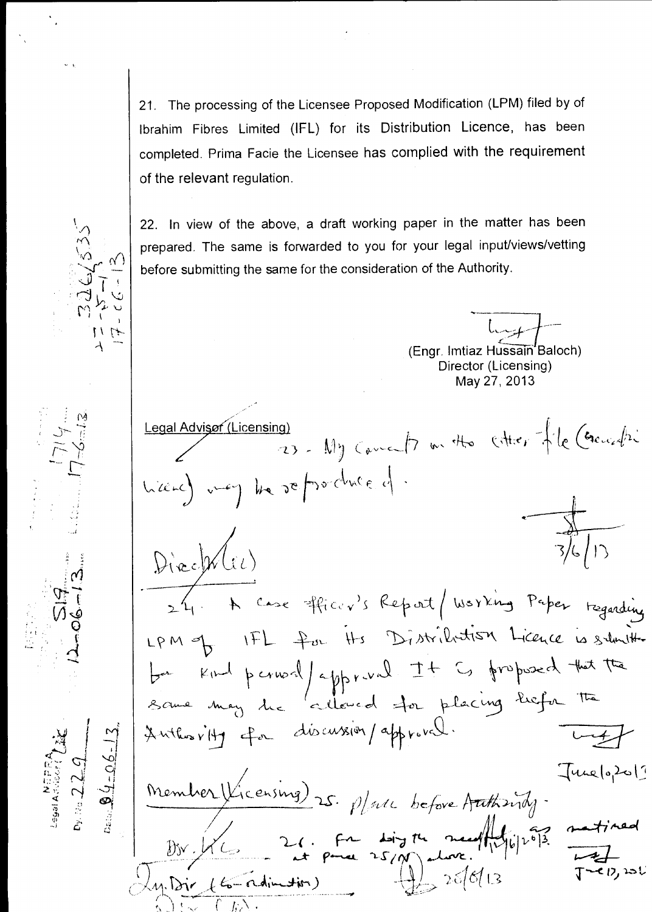21. The processing of the Licensee Proposed Modification (LPM) filed by of Ibrahim Fibres Limited (IFL) for its Distribution Licence, has been completed. Prima Facie the Licensee has complied with the requirement of the relevant regulation.

22. In view of the above, a draft working paper in the matter has been prepared. The same is forwarded to you for your legal input/views/vetting before submitting the same for the consideration of the Authority.

(Engr. Imtiaz Hussain'Baloch) Director (Licensing) May 27, 2013

19) - My Cancel on the Citier of le Crousetre Legal Advisor (Licensing) hierd and he reforduced. Director(1) 24. A Case officer's Report / Working Paper teganding LPM of IFL for Hs Distribution Licence is suburithment ba kind perioril appreval It is proposed that the<br>same may the cultured for placing liefer the Anthonity for discussion/approval.  $\sqrt{2\pi}$ Member Vicensing) 25. planc before Authority. [me12,201

 $\approx$  27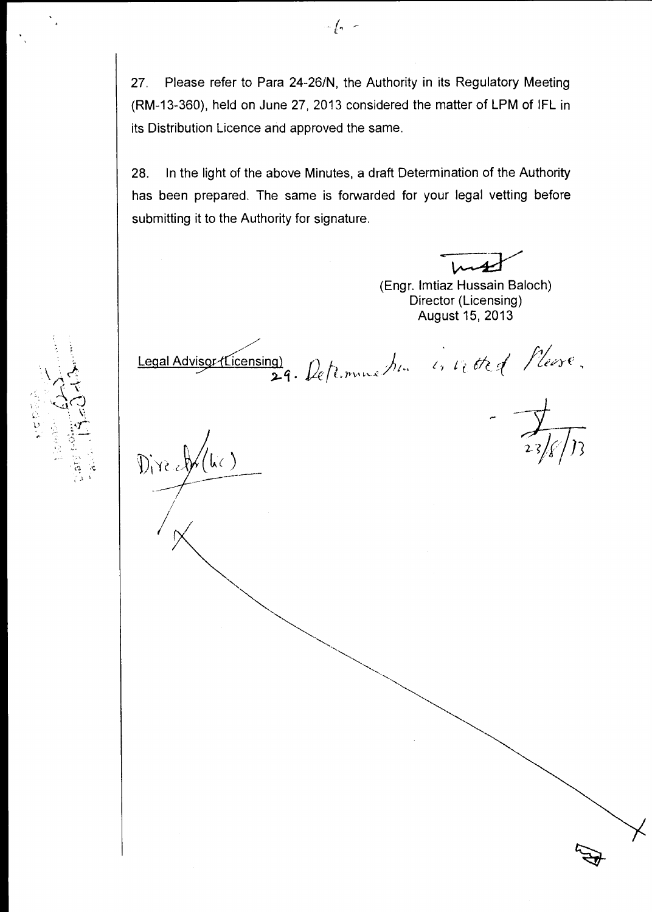27. Please refer to Para 24-26/N, the Authority in its Regulatory Meeting (RM-13-360), held on June 27, 2013 considered the matter of LPM of IFL in its Distribution Licence and approved the same.

28. In the light of the above Minutes, a draft Determination of the Authority has been prepared. The same is forwarded for your legal vetting before submitting it to the Authority for signature.

(Engr. lmtiaz Hussain Baloch) Director (Licensing) August 15, 2013

Legal Advisor (Licensing) .  $\mu$ eft. $m$ 

 $\mathbb{D}_{1}$  ready (lie)